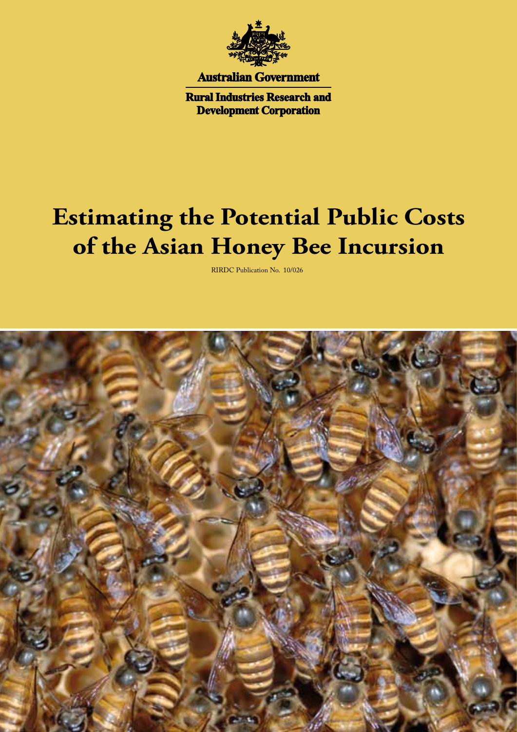

**Australian Government** 

**Rural Industries Research and Development Corporation** 

# **Estimating the Potential Public Costs of the Asian Honey Bee Incursion**

RIRDC Publication No. 10/026

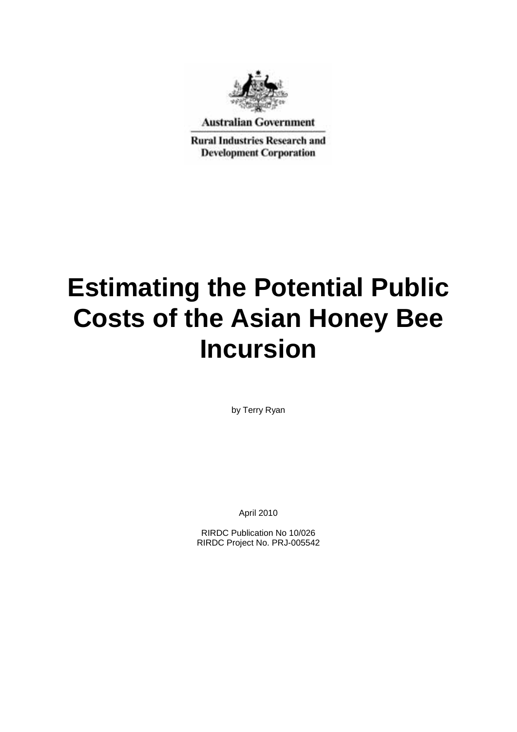

**Australian Government** 

**Rural Industries Research and Development Corporation** 

# **Estimating the Potential Public Costs of the Asian Honey Bee Incursion**

by Terry Ryan

April 2010

RIRDC Publication No 10/026 RIRDC Project No. PRJ-005542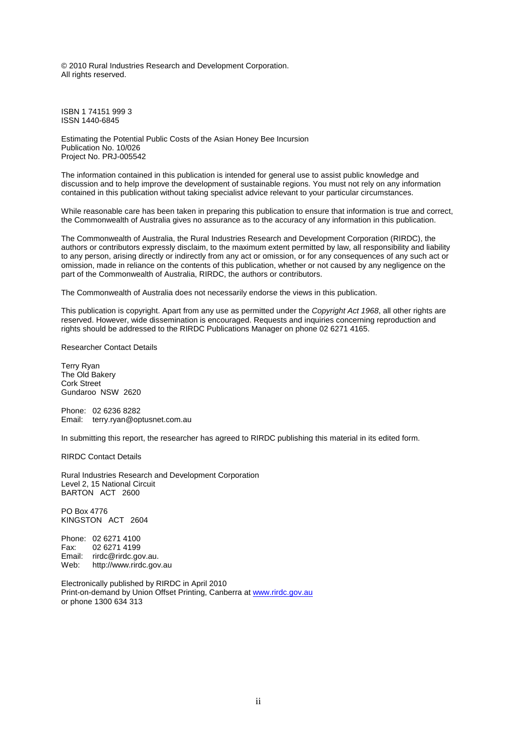© 2010 Rural Industries Research and Development Corporation. All rights reserved.

ISBN 1 74151 999 3 ISSN 1440-6845

Estimating the Potential Public Costs of the Asian Honey Bee Incursion Publication No. 10/026 Project No. PRJ-005542

The information contained in this publication is intended for general use to assist public knowledge and discussion and to help improve the development of sustainable regions. You must not rely on any information contained in this publication without taking specialist advice relevant to your particular circumstances.

While reasonable care has been taken in preparing this publication to ensure that information is true and correct, the Commonwealth of Australia gives no assurance as to the accuracy of any information in this publication.

The Commonwealth of Australia, the Rural Industries Research and Development Corporation (RIRDC), the authors or contributors expressly disclaim, to the maximum extent permitted by law, all responsibility and liability to any person, arising directly or indirectly from any act or omission, or for any consequences of any such act or omission, made in reliance on the contents of this publication, whether or not caused by any negligence on the part of the Commonwealth of Australia, RIRDC, the authors or contributors.

The Commonwealth of Australia does not necessarily endorse the views in this publication.

This publication is copyright. Apart from any use as permitted under the *Copyright Act 1968*, all other rights are reserved. However, wide dissemination is encouraged. Requests and inquiries concerning reproduction and rights should be addressed to the RIRDC Publications Manager on phone 02 6271 4165.

Researcher Contact Details

Terry Ryan The Old Bakery Cork Street Gundaroo NSW 2620

Phone: 02 6236 8282 Email: terry.ryan@optusnet.com.au

In submitting this report, the researcher has agreed to RIRDC publishing this material in its edited form.

RIRDC Contact Details

Rural Industries Research and Development Corporation Level 2, 15 National Circuit BARTON ACT 2600

PO Box 4776 KINGSTON ACT 2604

Phone: 02 6271 4100<br>Fax: 02 6271 4199 02 6271 4199 Email: rirdc@rirdc.gov.au. Web: http://www.rirdc.gov.au

Electronically published by RIRDC in April 2010 Print-on-demand by Union Offset Printing, Canberra at www.rirdc.gov.au or phone 1300 634 313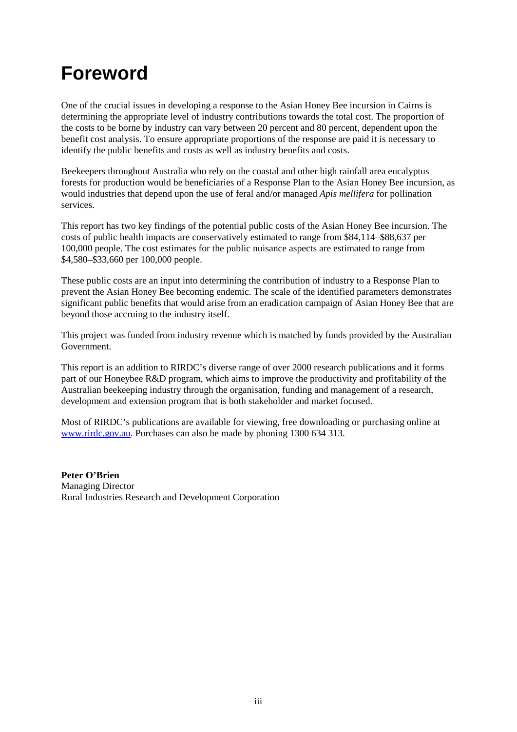## **Foreword**

One of the crucial issues in developing a response to the Asian Honey Bee incursion in Cairns is determining the appropriate level of industry contributions towards the total cost. The proportion of the costs to be borne by industry can vary between 20 percent and 80 percent, dependent upon the benefit cost analysis. To ensure appropriate proportions of the response are paid it is necessary to identify the public benefits and costs as well as industry benefits and costs.

Beekeepers throughout Australia who rely on the coastal and other high rainfall area eucalyptus forests for production would be beneficiaries of a Response Plan to the Asian Honey Bee incursion, as would industries that depend upon the use of feral and/or managed *Apis mellifera* for pollination services.

This report has two key findings of the potential public costs of the Asian Honey Bee incursion. The costs of public health impacts are conservatively estimated to range from \$84,114–\$88,637 per 100,000 people. The cost estimates for the public nuisance aspects are estimated to range from \$4,580–\$33,660 per 100,000 people.

These public costs are an input into determining the contribution of industry to a Response Plan to prevent the Asian Honey Bee becoming endemic. The scale of the identified parameters demonstrates significant public benefits that would arise from an eradication campaign of Asian Honey Bee that are beyond those accruing to the industry itself.

This project was funded from industry revenue which is matched by funds provided by the Australian Government.

This report is an addition to RIRDC's diverse range of over 2000 research publications and it forms part of our Honeybee R&D program, which aims to improve the productivity and profitability of the Australian beekeeping industry through the organisation, funding and management of a research, development and extension program that is both stakeholder and market focused.

Most of RIRDC's publications are available for viewing, free downloading or purchasing online at [www.rirdc.gov.au.](http://www.rirdc.gov.au/) Purchases can also be made by phoning 1300 634 313.

**Peter O'Brien** Managing Director Rural Industries Research and Development Corporation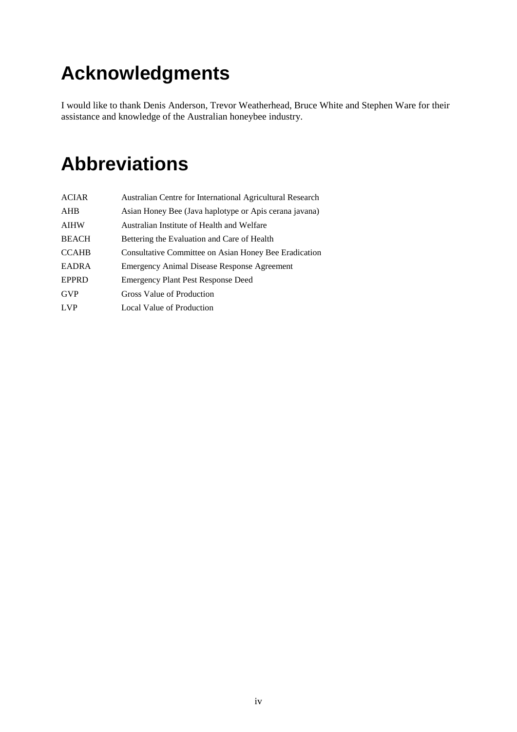## **Acknowledgments**

I would like to thank Denis Anderson, Trevor Weatherhead, Bruce White and Stephen Ware for their assistance and knowledge of the Australian honeybee industry.

## **Abbreviations**

| <b>ACIAR</b> | Australian Centre for International Agricultural Research |
|--------------|-----------------------------------------------------------|
| AHB          | Asian Honey Bee (Java haplotype or Apis cerana javana)    |
| <b>AIHW</b>  | Australian Institute of Health and Welfare                |
| <b>BEACH</b> | Bettering the Evaluation and Care of Health               |
| <b>CCAHB</b> | Consultative Committee on Asian Honey Bee Eradication     |
| <b>EADRA</b> | Emergency Animal Disease Response Agreement               |
| <b>EPPRD</b> | <b>Emergency Plant Pest Response Deed</b>                 |
| <b>GVP</b>   | Gross Value of Production                                 |
| <b>LVP</b>   | Local Value of Production                                 |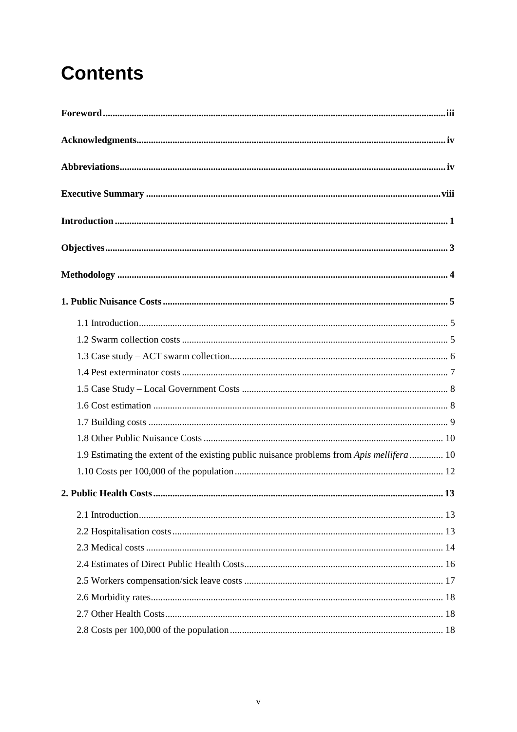## **Contents**

| 1.9 Estimating the extent of the existing public nuisance problems from Apis mellifera  10 |
|--------------------------------------------------------------------------------------------|
|                                                                                            |
|                                                                                            |
|                                                                                            |
|                                                                                            |
|                                                                                            |
|                                                                                            |
|                                                                                            |
|                                                                                            |
|                                                                                            |
|                                                                                            |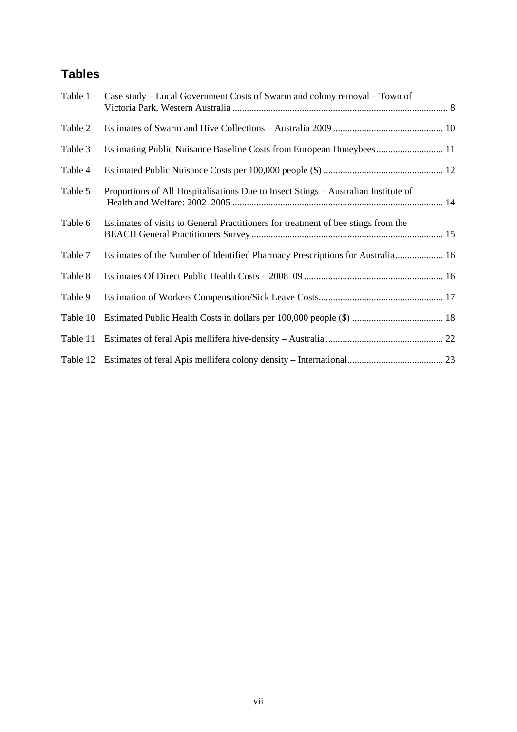## **Tables**

| Table 1  | Case study – Local Government Costs of Swarm and colony removal – Town of          |  |
|----------|------------------------------------------------------------------------------------|--|
| Table 2  |                                                                                    |  |
| Table 3  | Estimating Public Nuisance Baseline Costs from European Honeybees 11               |  |
| Table 4  |                                                                                    |  |
| Table 5  | Proportions of All Hospitalisations Due to Insect Stings - Australian Institute of |  |
| Table 6  | Estimates of visits to General Practitioners for treatment of bee stings from the  |  |
| Table 7  | Estimates of the Number of Identified Pharmacy Prescriptions for Australia 16      |  |
| Table 8  |                                                                                    |  |
| Table 9  |                                                                                    |  |
| Table 10 |                                                                                    |  |
| Table 11 |                                                                                    |  |
| Table 12 |                                                                                    |  |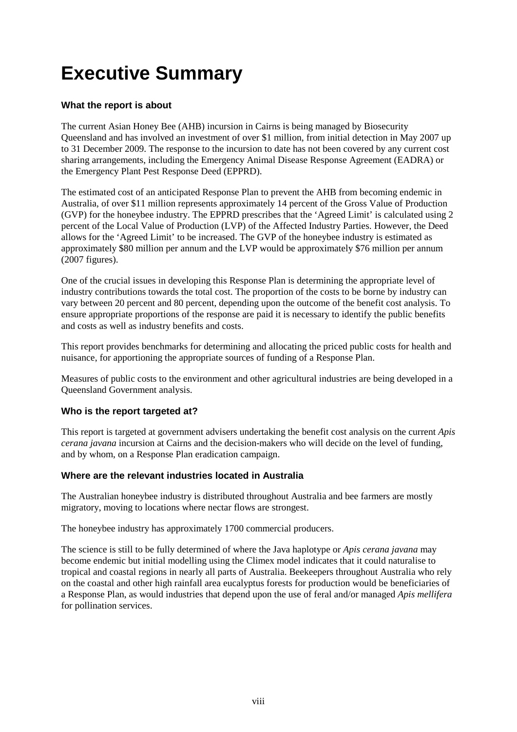## **Executive Summary**

#### **What the report is about**

The current Asian Honey Bee (AHB) incursion in Cairns is being managed by Biosecurity Queensland and has involved an investment of over \$1 million, from initial detection in May 2007 up to 31 December 2009. The response to the incursion to date has not been covered by any current cost sharing arrangements, including the Emergency Animal Disease Response Agreement (EADRA) or the Emergency Plant Pest Response Deed (EPPRD).

The estimated cost of an anticipated Response Plan to prevent the AHB from becoming endemic in Australia, of over \$11 million represents approximately 14 percent of the Gross Value of Production (GVP) for the honeybee industry. The EPPRD prescribes that the 'Agreed Limit' is calculated using 2 percent of the Local Value of Production (LVP) of the Affected Industry Parties. However, the Deed allows for the 'Agreed Limit' to be increased. The GVP of the honeybee industry is estimated as approximately \$80 million per annum and the LVP would be approximately \$76 million per annum (2007 figures).

One of the crucial issues in developing this Response Plan is determining the appropriate level of industry contributions towards the total cost. The proportion of the costs to be borne by industry can vary between 20 percent and 80 percent, depending upon the outcome of the benefit cost analysis. To ensure appropriate proportions of the response are paid it is necessary to identify the public benefits and costs as well as industry benefits and costs.

This report provides benchmarks for determining and allocating the priced public costs for health and nuisance, for apportioning the appropriate sources of funding of a Response Plan.

Measures of public costs to the environment and other agricultural industries are being developed in a Queensland Government analysis.

#### **Who is the report targeted at?**

This report is targeted at government advisers undertaking the benefit cost analysis on the current *Apis cerana javana* incursion at Cairns and the decision-makers who will decide on the level of funding, and by whom, on a Response Plan eradication campaign.

#### **Where are the relevant industries located in Australia**

The Australian honeybee industry is distributed throughout Australia and bee farmers are mostly migratory, moving to locations where nectar flows are strongest.

The honeybee industry has approximately 1700 commercial producers.

The science is still to be fully determined of where the Java haplotype or *Apis cerana javana* may become endemic but initial modelling using the Climex model indicates that it could naturalise to tropical and coastal regions in nearly all parts of Australia. Beekeepers throughout Australia who rely on the coastal and other high rainfall area eucalyptus forests for production would be beneficiaries of a Response Plan, as would industries that depend upon the use of feral and/or managed *Apis mellifera* for pollination services.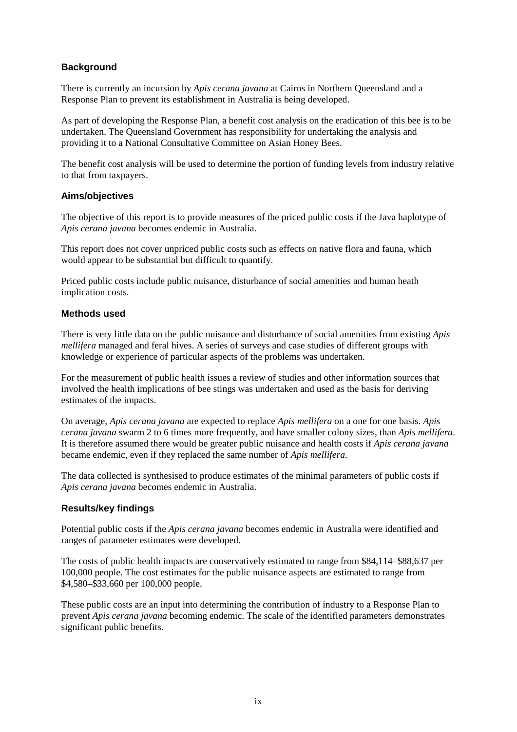#### **Background**

There is currently an incursion by *Apis cerana javana* at Cairns in Northern Queensland and a Response Plan to prevent its establishment in Australia is being developed.

As part of developing the Response Plan, a benefit cost analysis on the eradication of this bee is to be undertaken. The Queensland Government has responsibility for undertaking the analysis and providing it to a National Consultative Committee on Asian Honey Bees.

The benefit cost analysis will be used to determine the portion of funding levels from industry relative to that from taxpayers.

#### **Aims/objectives**

The objective of this report is to provide measures of the priced public costs if the Java haplotype of *Apis cerana javana* becomes endemic in Australia.

This report does not cover unpriced public costs such as effects on native flora and fauna, which would appear to be substantial but difficult to quantify.

Priced public costs include public nuisance, disturbance of social amenities and human heath implication costs.

#### **Methods used**

There is very little data on the public nuisance and disturbance of social amenities from existing *Apis mellifera* managed and feral hives. A series of surveys and case studies of different groups with knowledge or experience of particular aspects of the problems was undertaken.

For the measurement of public health issues a review of studies and other information sources that involved the health implications of bee stings was undertaken and used as the basis for deriving estimates of the impacts.

On average, *Apis cerana javana* are expected to replace *Apis mellifera* on a one for one basis. *Apis cerana javana* swarm 2 to 6 times more frequently, and have smaller colony sizes, than *Apis mellifera*. It is therefore assumed there would be greater public nuisance and health costs if *Apis cerana javana* became endemic, even if they replaced the same number of *Apis mellifera*.

The data collected is synthesised to produce estimates of the minimal parameters of public costs if *Apis cerana javana* becomes endemic in Australia.

#### **Results/key findings**

Potential public costs if the *Apis cerana javana* becomes endemic in Australia were identified and ranges of parameter estimates were developed.

The costs of public health impacts are conservatively estimated to range from \$84,114–\$88,637 per 100,000 people. The cost estimates for the public nuisance aspects are estimated to range from \$4,580–\$33,660 per 100,000 people.

These public costs are an input into determining the contribution of industry to a Response Plan to prevent *Apis cerana javana* becoming endemic. The scale of the identified parameters demonstrates significant public benefits.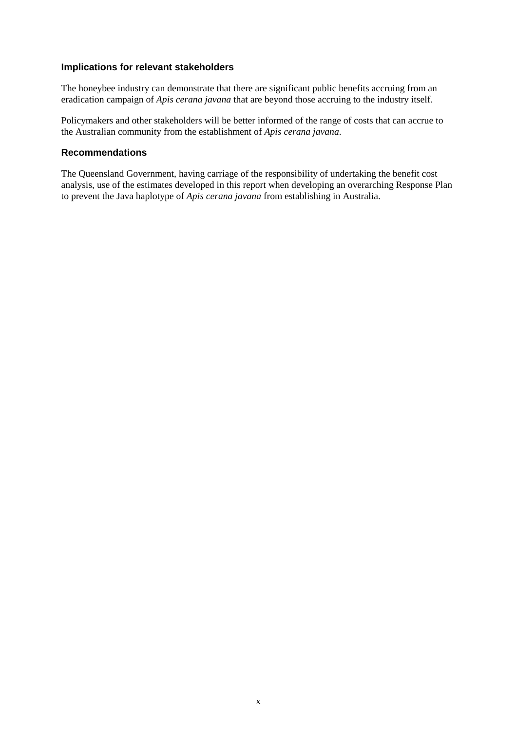#### **Implications for relevant stakeholders**

The honeybee industry can demonstrate that there are significant public benefits accruing from an eradication campaign of *Apis cerana javana* that are beyond those accruing to the industry itself.

Policymakers and other stakeholders will be better informed of the range of costs that can accrue to the Australian community from the establishment of *Apis cerana javana*.

#### **Recommendations**

The Queensland Government, having carriage of the responsibility of undertaking the benefit cost analysis, use of the estimates developed in this report when developing an overarching Response Plan to prevent the Java haplotype of *Apis cerana javana* from establishing in Australia.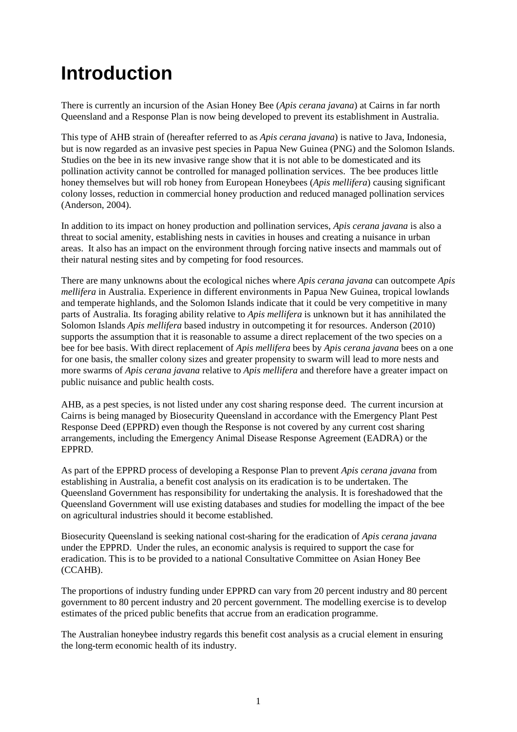## **Introduction**

There is currently an incursion of the Asian Honey Bee (*Apis cerana javana*) at Cairns in far north Queensland and a Response Plan is now being developed to prevent its establishment in Australia.

This type of AHB strain of (hereafter referred to as *Apis cerana javana*) is native to Java, Indonesia, but is now regarded as an invasive pest species in Papua New Guinea (PNG) and the Solomon Islands. Studies on the bee in its new invasive range show that it is not able to be domesticated and its pollination activity cannot be controlled for managed pollination services. The bee produces little honey themselves but will rob honey from European Honeybees (*Apis mellifera*) causing significant colony losses, reduction in commercial honey production and reduced managed pollination services (Anderson, 2004).

In addition to its impact on honey production and pollination services, *Apis cerana javana* is also a threat to social amenity, establishing nests in cavities in houses and creating a nuisance in urban areas. It also has an impact on the environment through forcing native insects and mammals out of their natural nesting sites and by competing for food resources.

There are many unknowns about the ecological niches where *Apis cerana javana* can outcompete *Apis mellifera* in Australia. Experience in different environments in Papua New Guinea, tropical lowlands and temperate highlands, and the Solomon Islands indicate that it could be very competitive in many parts of Australia. Its foraging ability relative to *Apis mellifera* is unknown but it has annihilated the Solomon Islands *Apis mellifera* based industry in outcompeting it for resources. Anderson (2010) supports the assumption that it is reasonable to assume a direct replacement of the two species on a bee for bee basis. With direct replacement of *Apis mellifera* bees by *Apis cerana javana* bees on a one for one basis, the smaller colony sizes and greater propensity to swarm will lead to more nests and more swarms of *Apis cerana javana* relative to *Apis mellifera* and therefore have a greater impact on public nuisance and public health costs.

AHB, as a pest species, is not listed under any cost sharing response deed. The current incursion at Cairns is being managed by Biosecurity Queensland in accordance with the Emergency Plant Pest Response Deed (EPPRD) even though the Response is not covered by any current cost sharing arrangements, including the Emergency Animal Disease Response Agreement (EADRA) or the EPPRD.

As part of the EPPRD process of developing a Response Plan to prevent *Apis cerana javana* from establishing in Australia, a benefit cost analysis on its eradication is to be undertaken. The Queensland Government has responsibility for undertaking the analysis. It is foreshadowed that the Queensland Government will use existing databases and studies for modelling the impact of the bee on agricultural industries should it become established.

Biosecurity Queensland is seeking national cost-sharing for the eradication of *Apis cerana javana* under the EPPRD. Under the rules, an economic analysis is required to support the case for eradication. This is to be provided to a national Consultative Committee on Asian Honey Bee (CCAHB).

The proportions of industry funding under EPPRD can vary from 20 percent industry and 80 percent government to 80 percent industry and 20 percent government. The modelling exercise is to develop estimates of the priced public benefits that accrue from an eradication programme.

The Australian honeybee industry regards this benefit cost analysis as a crucial element in ensuring the long-term economic health of its industry.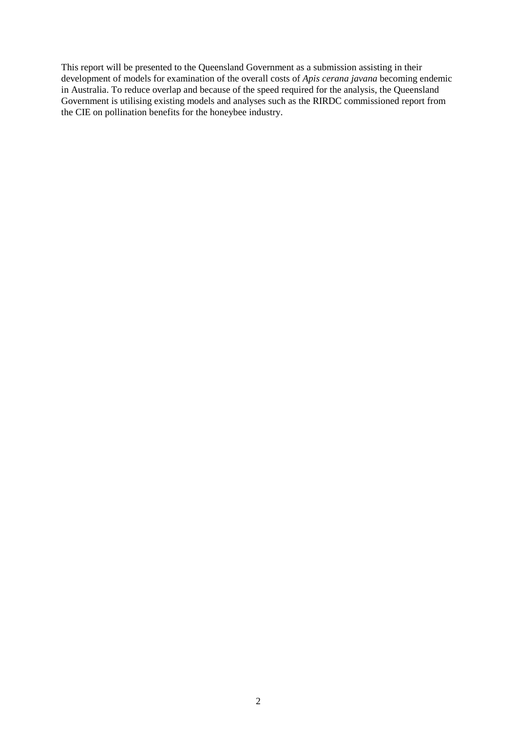This report will be presented to the Queensland Government as a submission assisting in their development of models for examination of the overall costs of *Apis cerana javana* becoming endemic in Australia. To reduce overlap and because of the speed required for the analysis, the Queensland Government is utilising existing models and analyses such as the RIRDC commissioned report from the CIE on pollination benefits for the honeybee industry.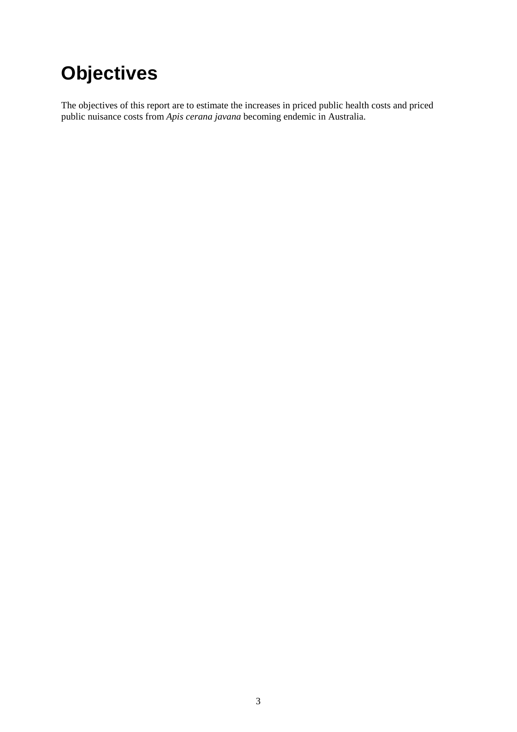## **Objectives**

The objectives of this report are to estimate the increases in priced public health costs and priced public nuisance costs from *Apis cerana javana* becoming endemic in Australia.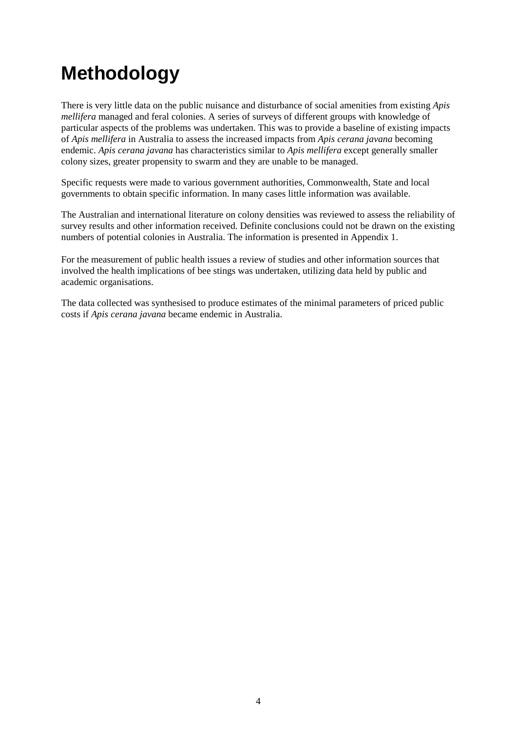## **Methodology**

There is very little data on the public nuisance and disturbance of social amenities from existing *Apis mellifera* managed and feral colonies. A series of surveys of different groups with knowledge of particular aspects of the problems was undertaken. This was to provide a baseline of existing impacts of *Apis mellifera* in Australia to assess the increased impacts from *Apis cerana javana* becoming endemic. *Apis cerana javana* has characteristics similar to *Apis mellifera* except generally smaller colony sizes, greater propensity to swarm and they are unable to be managed.

Specific requests were made to various government authorities, Commonwealth, State and local governments to obtain specific information. In many cases little information was available.

The Australian and international literature on colony densities was reviewed to assess the reliability of survey results and other information received. Definite conclusions could not be drawn on the existing numbers of potential colonies in Australia. The information is presented in Appendix 1.

For the measurement of public health issues a review of studies and other information sources that involved the health implications of bee stings was undertaken, utilizing data held by public and academic organisations.

The data collected was synthesised to produce estimates of the minimal parameters of priced public costs if *Apis cerana javana* became endemic in Australia.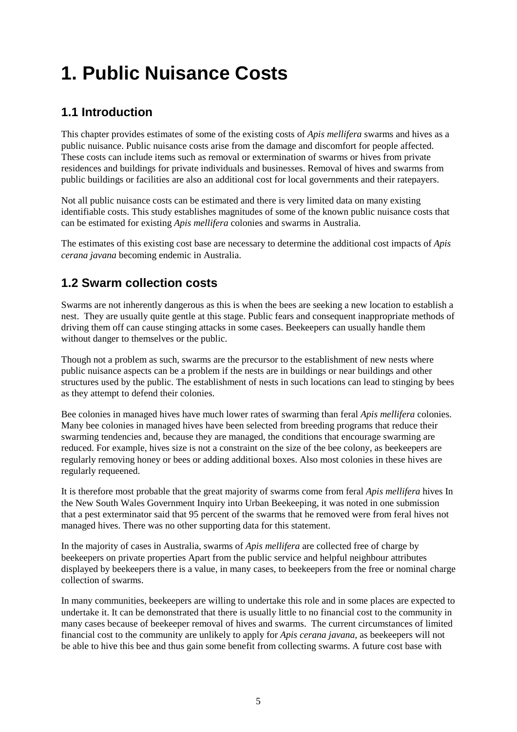## **1. Public Nuisance Costs**

## **1.1 Introduction**

This chapter provides estimates of some of the existing costs of *Apis mellifera* swarms and hives as a public nuisance. Public nuisance costs arise from the damage and discomfort for people affected. These costs can include items such as removal or extermination of swarms or hives from private residences and buildings for private individuals and businesses. Removal of hives and swarms from public buildings or facilities are also an additional cost for local governments and their ratepayers.

Not all public nuisance costs can be estimated and there is very limited data on many existing identifiable costs. This study establishes magnitudes of some of the known public nuisance costs that can be estimated for existing *Apis mellifera* colonies and swarms in Australia.

The estimates of this existing cost base are necessary to determine the additional cost impacts of *Apis cerana javana* becoming endemic in Australia.

### **1.2 Swarm collection costs**

Swarms are not inherently dangerous as this is when the bees are seeking a new location to establish a nest. They are usually quite gentle at this stage. Public fears and consequent inappropriate methods of driving them off can cause stinging attacks in some cases. Beekeepers can usually handle them without danger to themselves or the public.

Though not a problem as such, swarms are the precursor to the establishment of new nests where public nuisance aspects can be a problem if the nests are in buildings or near buildings and other structures used by the public. The establishment of nests in such locations can lead to stinging by bees as they attempt to defend their colonies.

Bee colonies in managed hives have much lower rates of swarming than feral *Apis mellifera* colonies. Many bee colonies in managed hives have been selected from breeding programs that reduce their swarming tendencies and, because they are managed, the conditions that encourage swarming are reduced. For example, hives size is not a constraint on the size of the bee colony, as beekeepers are regularly removing honey or bees or adding additional boxes. Also most colonies in these hives are regularly requeened.

It is therefore most probable that the great majority of swarms come from feral *Apis mellifera* hives In the New South Wales Government Inquiry into Urban Beekeeping, it was noted in one submission that a pest exterminator said that 95 percent of the swarms that he removed were from feral hives not managed hives. There was no other supporting data for this statement.

In the majority of cases in Australia, swarms of *Apis mellifera* are collected free of charge by beekeepers on private properties Apart from the public service and helpful neighbour attributes displayed by beekeepers there is a value, in many cases, to beekeepers from the free or nominal charge collection of swarms.

In many communities, beekeepers are willing to undertake this role and in some places are expected to undertake it. It can be demonstrated that there is usually little to no financial cost to the community in many cases because of beekeeper removal of hives and swarms. The current circumstances of limited financial cost to the community are unlikely to apply for *Apis cerana javana*, as beekeepers will not be able to hive this bee and thus gain some benefit from collecting swarms. A future cost base with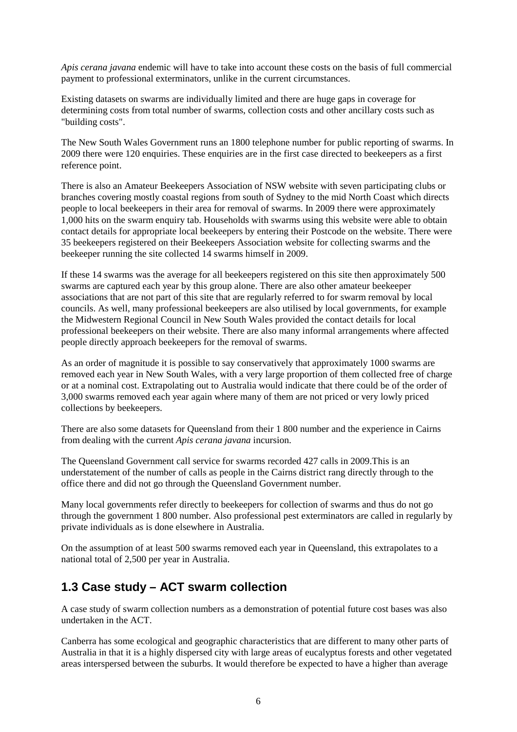*Apis cerana javana* endemic will have to take into account these costs on the basis of full commercial payment to professional exterminators, unlike in the current circumstances.

Existing datasets on swarms are individually limited and there are huge gaps in coverage for determining costs from total number of swarms, collection costs and other ancillary costs such as "building costs".

The New South Wales Government runs an 1800 telephone number for public reporting of swarms. In 2009 there were 120 enquiries. These enquiries are in the first case directed to beekeepers as a first reference point.

There is also an Amateur Beekeepers Association of NSW website with seven participating clubs or branches covering mostly coastal regions from south of Sydney to the mid North Coast which directs people to local beekeepers in their area for removal of swarms. In 2009 there were approximately 1,000 hits on the swarm enquiry tab. Households with swarms using this website were able to obtain contact details for appropriate local beekeepers by entering their Postcode on the website. There were 35 beekeepers registered on their Beekeepers Association website for collecting swarms and the beekeeper running the site collected 14 swarms himself in 2009.

If these 14 swarms was the average for all beekeepers registered on this site then approximately 500 swarms are captured each year by this group alone. There are also other amateur beekeeper associations that are not part of this site that are regularly referred to for swarm removal by local councils. As well, many professional beekeepers are also utilised by local governments, for example the Midwestern Regional Council in New South Wales provided the contact details for local professional beekeepers on their website. There are also many informal arrangements where affected people directly approach beekeepers for the removal of swarms.

As an order of magnitude it is possible to say conservatively that approximately 1000 swarms are removed each year in New South Wales, with a very large proportion of them collected free of charge or at a nominal cost. Extrapolating out to Australia would indicate that there could be of the order of 3,000 swarms removed each year again where many of them are not priced or very lowly priced collections by beekeepers.

There are also some datasets for Queensland from their 1 800 number and the experience in Cairns from dealing with the current *Apis cerana javana* incursion.

The Queensland Government call service for swarms recorded 427 calls in 2009.This is an understatement of the number of calls as people in the Cairns district rang directly through to the office there and did not go through the Queensland Government number.

Many local governments refer directly to beekeepers for collection of swarms and thus do not go through the government 1 800 number. Also professional pest exterminators are called in regularly by private individuals as is done elsewhere in Australia.

On the assumption of at least 500 swarms removed each year in Queensland, this extrapolates to a national total of 2,500 per year in Australia.

### **1.3 Case study – ACT swarm collection**

A case study of swarm collection numbers as a demonstration of potential future cost bases was also undertaken in the ACT.

Canberra has some ecological and geographic characteristics that are different to many other parts of Australia in that it is a highly dispersed city with large areas of eucalyptus forests and other vegetated areas interspersed between the suburbs. It would therefore be expected to have a higher than average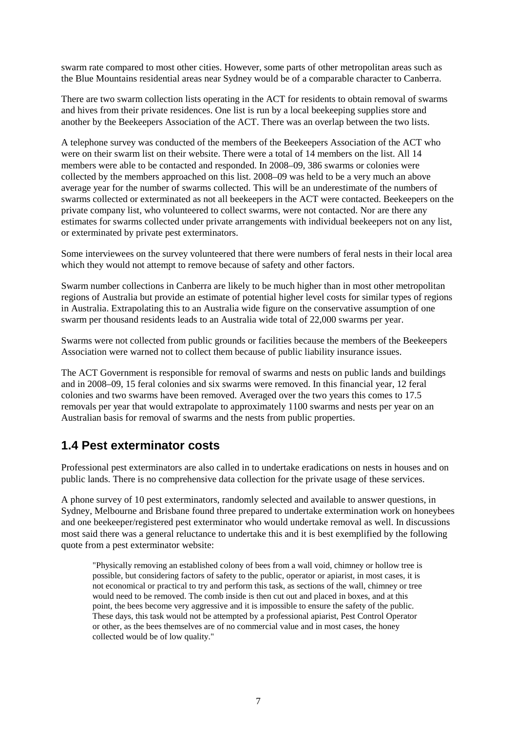swarm rate compared to most other cities. However, some parts of other metropolitan areas such as the Blue Mountains residential areas near Sydney would be of a comparable character to Canberra.

There are two swarm collection lists operating in the ACT for residents to obtain removal of swarms and hives from their private residences. One list is run by a local beekeeping supplies store and another by the Beekeepers Association of the ACT. There was an overlap between the two lists.

A telephone survey was conducted of the members of the Beekeepers Association of the ACT who were on their swarm list on their website. There were a total of 14 members on the list. All 14 members were able to be contacted and responded. In 2008–09, 386 swarms or colonies were collected by the members approached on this list. 2008–09 was held to be a very much an above average year for the number of swarms collected. This will be an underestimate of the numbers of swarms collected or exterminated as not all beekeepers in the ACT were contacted. Beekeepers on the private company list, who volunteered to collect swarms, were not contacted. Nor are there any estimates for swarms collected under private arrangements with individual beekeepers not on any list, or exterminated by private pest exterminators.

Some interviewees on the survey volunteered that there were numbers of feral nests in their local area which they would not attempt to remove because of safety and other factors.

Swarm number collections in Canberra are likely to be much higher than in most other metropolitan regions of Australia but provide an estimate of potential higher level costs for similar types of regions in Australia. Extrapolating this to an Australia wide figure on the conservative assumption of one swarm per thousand residents leads to an Australia wide total of 22,000 swarms per year.

Swarms were not collected from public grounds or facilities because the members of the Beekeepers Association were warned not to collect them because of public liability insurance issues.

The ACT Government is responsible for removal of swarms and nests on public lands and buildings and in 2008–09, 15 feral colonies and six swarms were removed. In this financial year, 12 feral colonies and two swarms have been removed. Averaged over the two years this comes to 17.5 removals per year that would extrapolate to approximately 1100 swarms and nests per year on an Australian basis for removal of swarms and the nests from public properties.

### **1.4 Pest exterminator costs**

Professional pest exterminators are also called in to undertake eradications on nests in houses and on public lands. There is no comprehensive data collection for the private usage of these services.

A phone survey of 10 pest exterminators, randomly selected and available to answer questions, in Sydney, Melbourne and Brisbane found three prepared to undertake extermination work on honeybees and one beekeeper/registered pest exterminator who would undertake removal as well. In discussions most said there was a general reluctance to undertake this and it is best exemplified by the following quote from a pest exterminator website:

"Physically removing an established colony of bees from a wall void, chimney or hollow tree is possible, but considering factors of safety to the public, operator or apiarist, in most cases, it is not economical or practical to try and perform this task, as sections of the wall, chimney or tree would need to be removed. The comb inside is then cut out and placed in boxes, and at this point, the bees become very aggressive and it is impossible to ensure the safety of the public. These days, this task would not be attempted by a professional apiarist, Pest Control Operator or other, as the bees themselves are of no commercial value and in most cases, the honey collected would be of low quality."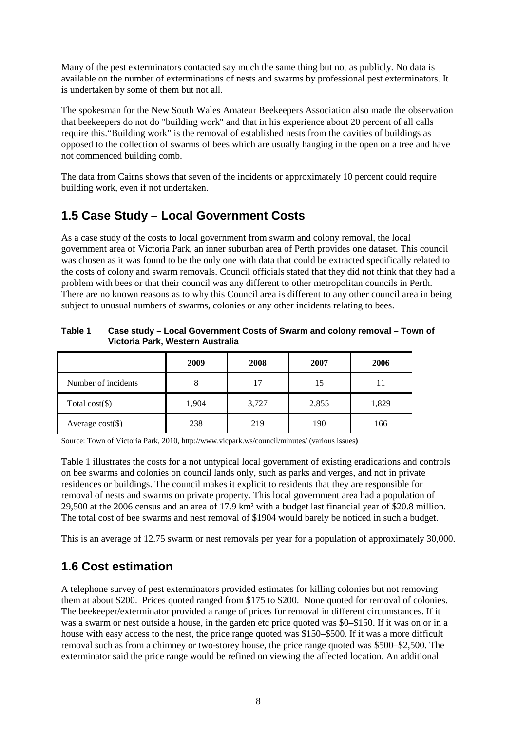Many of the pest exterminators contacted say much the same thing but not as publicly. No data is available on the number of exterminations of nests and swarms by professional pest exterminators. It is undertaken by some of them but not all.

The spokesman for the New South Wales Amateur Beekeepers Association also made the observation that beekeepers do not do "building work" and that in his experience about 20 percent of all calls require this."Building work" is the removal of established nests from the cavities of buildings as opposed to the collection of swarms of bees which are usually hanging in the open on a tree and have not commenced building comb.

The data from Cairns shows that seven of the incidents or approximately 10 percent could require building work, even if not undertaken.

### **1.5 Case Study – Local Government Costs**

As a case study of the costs to local government from swarm and colony removal, the local government area of Victoria Park, an inner suburban area of Perth provides one dataset. This council was chosen as it was found to be the only one with data that could be extracted specifically related to the costs of colony and swarm removals. Council officials stated that they did not think that they had a problem with bees or that their council was any different to other metropolitan councils in Perth. There are no known reasons as to why this Council area is different to any other council area in being subject to unusual numbers of swarms, colonies or any other incidents relating to bees.

<span id="page-19-0"></span>

| Table 1 | Case study – Local Government Costs of Swarm and colony removal – Town of |
|---------|---------------------------------------------------------------------------|
|         | Victoria Park, Western Australia                                          |

|                     | 2009  | 2008  | 2007  | 2006  |
|---------------------|-------|-------|-------|-------|
| Number of incidents |       | 17    | 15    | 11    |
| Total $cost(\$)$    | 1,904 | 3,727 | 2,855 | 1,829 |
| Average $cost(\$))$ | 238   | 219   | 190   | 166   |

Source: Town of Victoria Park, 2010, http://www.vicpark.ws/council/minutes/ (various issues**)**

Table 1 illustrates the costs for a not untypical local government of existing eradications and controls on bee swarms and colonies on council lands only, such as parks and verges, and not in private residences or buildings. The council makes it explicit to residents that they are responsible for removal of nests and swarms on private property. This local government area had a population of 29,500 at the 2006 census and an area of 17.9 km² with a budget last financial year of \$20.8 million. The total cost of bee swarms and nest removal of \$1904 would barely be noticed in such a budget.

This is an average of 12.75 swarm or nest removals per year for a population of approximately 30,000.

### **1.6 Cost estimation**

A telephone survey of pest exterminators provided estimates for killing colonies but not removing them at about \$200. Prices quoted ranged from \$175 to \$200. None quoted for removal of colonies. The beekeeper/exterminator provided a range of prices for removal in different circumstances. If it was a swarm or nest outside a house, in the garden etc price quoted was \$0–\$150. If it was on or in a house with easy access to the nest, the price range quoted was \$150–\$500. If it was a more difficult removal such as from a chimney or two-storey house, the price range quoted was \$500–\$2,500. The exterminator said the price range would be refined on viewing the affected location. An additional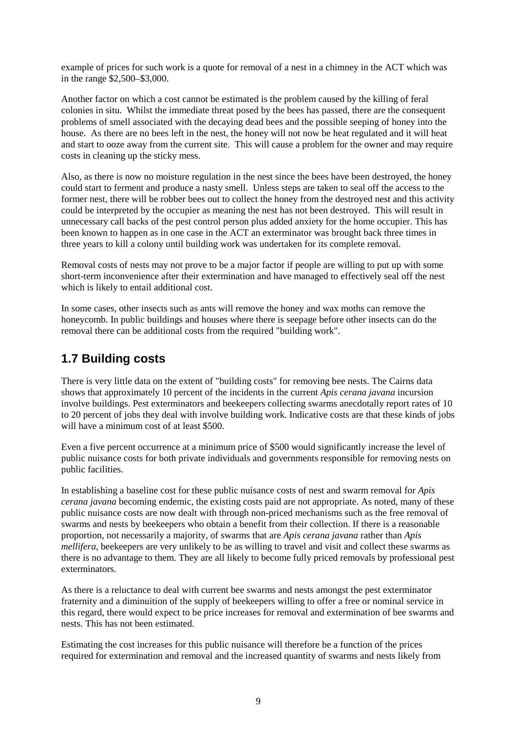example of prices for such work is a quote for removal of a nest in a chimney in the ACT which was in the range \$2,500–\$3,000.

Another factor on which a cost cannot be estimated is the problem caused by the killing of feral colonies in situ. Whilst the immediate threat posed by the bees has passed, there are the consequent problems of smell associated with the decaying dead bees and the possible seeping of honey into the house. As there are no bees left in the nest, the honey will not now be heat regulated and it will heat and start to ooze away from the current site. This will cause a problem for the owner and may require costs in cleaning up the sticky mess.

Also, as there is now no moisture regulation in the nest since the bees have been destroyed, the honey could start to ferment and produce a nasty smell. Unless steps are taken to seal off the access to the former nest, there will be robber bees out to collect the honey from the destroyed nest and this activity could be interpreted by the occupier as meaning the nest has not been destroyed. This will result in unnecessary call backs of the pest control person plus added anxiety for the home occupier. This has been known to happen as in one case in the ACT an exterminator was brought back three times in three years to kill a colony until building work was undertaken for its complete removal.

Removal costs of nests may not prove to be a major factor if people are willing to put up with some short-term inconvenience after their extermination and have managed to effectively seal off the nest which is likely to entail additional cost.

In some cases, other insects such as ants will remove the honey and wax moths can remove the honeycomb. In public buildings and houses where there is seepage before other insects can do the removal there can be additional costs from the required "building work".

### **1.7 Building costs**

There is very little data on the extent of "building costs" for removing bee nests. The Cairns data shows that approximately 10 percent of the incidents in the current *Apis cerana javana* incursion involve buildings. Pest exterminators and beekeepers collecting swarms anecdotally report rates of 10 to 20 percent of jobs they deal with involve building work. Indicative costs are that these kinds of jobs will have a minimum cost of at least \$500.

Even a five percent occurrence at a minimum price of \$500 would significantly increase the level of public nuisance costs for both private individuals and governments responsible for removing nests on public facilities.

In establishing a baseline cost for these public nuisance costs of nest and swarm removal for *Apis cerana javana* becoming endemic, the existing costs paid are not appropriate. As noted, many of these public nuisance costs are now dealt with through non-priced mechanisms such as the free removal of swarms and nests by beekeepers who obtain a benefit from their collection. If there is a reasonable proportion, not necessarily a majority, of swarms that are *Apis cerana javana* rather than *Apis mellifera,* beekeepers are very unlikely to be as willing to travel and visit and collect these swarms as there is no advantage to them. They are all likely to become fully priced removals by professional pest exterminators.

As there is a reluctance to deal with current bee swarms and nests amongst the pest exterminator fraternity and a diminuition of the supply of beekeepers willing to offer a free or nominal service in this regard, there would expect to be price increases for removal and extermination of bee swarms and nests. This has not been estimated.

Estimating the cost increases for this public nuisance will therefore be a function of the prices required for extermination and removal and the increased quantity of swarms and nests likely from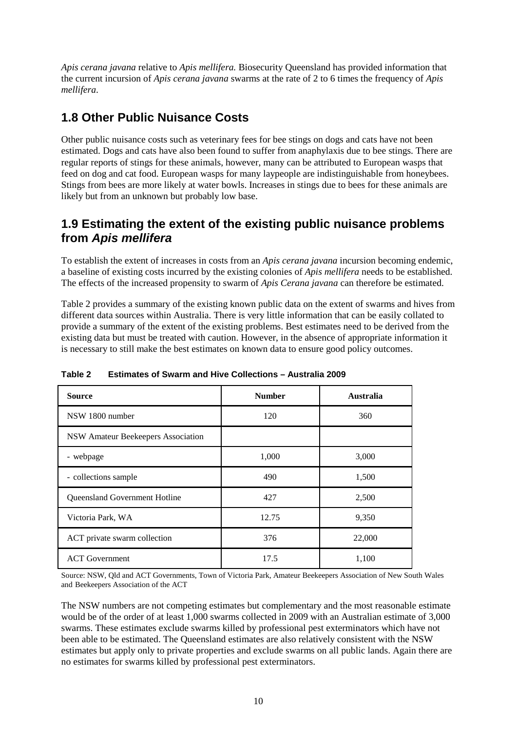*Apis cerana javana* relative to *Apis mellifera.* Biosecurity Queensland has provided information that the current incursion of *Apis cerana javana* swarms at the rate of 2 to 6 times the frequency of *Apis mellifera*.

## **1.8 Other Public Nuisance Costs**

Other public nuisance costs such as veterinary fees for bee stings on dogs and cats have not been estimated. Dogs and cats have also been found to suffer from anaphylaxis due to bee stings. There are regular reports of stings for these animals, however, many can be attributed to European wasps that feed on dog and cat food. European wasps for many laypeople are indistinguishable from honeybees. Stings from bees are more likely at water bowls. Increases in stings due to bees for these animals are likely but from an unknown but probably low base.

### **1.9 Estimating the extent of the existing public nuisance problems from** *Apis mellifera*

To establish the extent of increases in costs from an *Apis cerana javana* incursion becoming endemic, a baseline of existing costs incurred by the existing colonies of *Apis mellifera* needs to be established. The effects of the increased propensity to swarm of *Apis Cerana javana* can therefore be estimated.

Table 2 provides a summary of the existing known public data on the extent of swarms and hives from different data sources within Australia. There is very little information that can be easily collated to provide a summary of the extent of the existing problems. Best estimates need to be derived from the existing data but must be treated with caution. However, in the absence of appropriate information it is necessary to still make the best estimates on known data to ensure good policy outcomes.

| <b>Source</b>                      | <b>Number</b> | <b>Australia</b> |
|------------------------------------|---------------|------------------|
| NSW 1800 number                    | 120           | 360              |
| NSW Amateur Beekeepers Association |               |                  |
| - webpage                          | 1,000         | 3,000            |
| - collections sample               | 490           | 1,500            |
| Queensland Government Hotline      | 427           | 2,500            |
| Victoria Park, WA                  | 12.75         | 9,350            |
| ACT private swarm collection       | 376           | 22,000           |
| <b>ACT</b> Government              | 17.5          | 1,100            |

#### <span id="page-21-0"></span>**Table 2 Estimates of Swarm and Hive Collections – Australia 2009**

Source: NSW, Qld and ACT Governments, Town of Victoria Park, Amateur Beekeepers Association of New South Wales and Beekeepers Association of the ACT

The NSW numbers are not competing estimates but complementary and the most reasonable estimate would be of the order of at least 1,000 swarms collected in 2009 with an Australian estimate of 3,000 swarms. These estimates exclude swarms killed by professional pest exterminators which have not been able to be estimated. The Queensland estimates are also relatively consistent with the NSW estimates but apply only to private properties and exclude swarms on all public lands. Again there are no estimates for swarms killed by professional pest exterminators.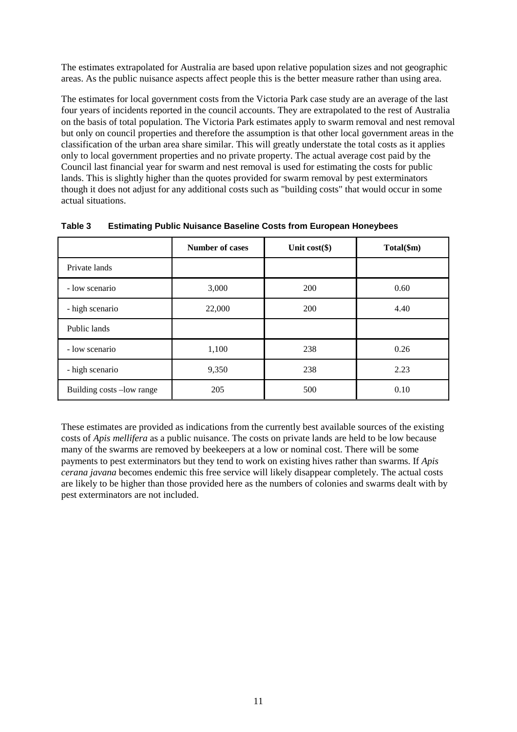The estimates extrapolated for Australia are based upon relative population sizes and not geographic areas. As the public nuisance aspects affect people this is the better measure rather than using area.

The estimates for local government costs from the Victoria Park case study are an average of the last four years of incidents reported in the council accounts. They are extrapolated to the rest of Australia on the basis of total population. The Victoria Park estimates apply to swarm removal and nest removal but only on council properties and therefore the assumption is that other local government areas in the classification of the urban area share similar. This will greatly understate the total costs as it applies only to local government properties and no private property. The actual average cost paid by the Council last financial year for swarm and nest removal is used for estimating the costs for public lands. This is slightly higher than the quotes provided for swarm removal by pest exterminators though it does not adjust for any additional costs such as "building costs" that would occur in some actual situations.

|                           | <b>Number of cases</b> | Unit $cost(\$)$ | Total(\$m) |
|---------------------------|------------------------|-----------------|------------|
| Private lands             |                        |                 |            |
| - low scenario            | 3,000                  | 200             | 0.60       |
| - high scenario           | 22,000                 | 200             | 4.40       |
| Public lands              |                        |                 |            |
| - low scenario            | 1,100                  | 238             | 0.26       |
| - high scenario           | 9,350                  | 238             | 2.23       |
| Building costs -low range | 205                    | 500             | 0.10       |

<span id="page-22-0"></span>**Table 3 Estimating Public Nuisance Baseline Costs from European Honeybees**

These estimates are provided as indications from the currently best available sources of the existing costs of *Apis mellifera* as a public nuisance. The costs on private lands are held to be low because many of the swarms are removed by beekeepers at a low or nominal cost. There will be some payments to pest exterminators but they tend to work on existing hives rather than swarms. If *Apis cerana javana* becomes endemic this free service will likely disappear completely. The actual costs are likely to be higher than those provided here as the numbers of colonies and swarms dealt with by pest exterminators are not included.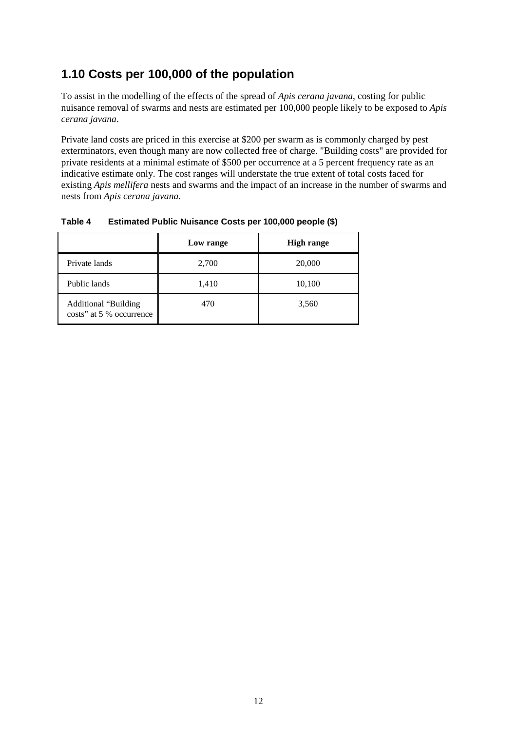### **1.10 Costs per 100,000 of the population**

To assist in the modelling of the effects of the spread of *Apis cerana javana*, costing for public nuisance removal of swarms and nests are estimated per 100,000 people likely to be exposed to *Apis cerana javana*.

Private land costs are priced in this exercise at \$200 per swarm as is commonly charged by pest exterminators, even though many are now collected free of charge. "Building costs" are provided for private residents at a minimal estimate of \$500 per occurrence at a 5 percent frequency rate as an indicative estimate only. The cost ranges will understate the true extent of total costs faced for existing *Apis mellifera* nests and swarms and the impact of an increase in the number of swarms and nests from *Apis cerana javana*.

|                                                         | Low range | <b>High range</b> |
|---------------------------------------------------------|-----------|-------------------|
| Private lands                                           | 2,700     | 20,000            |
| Public lands                                            | 1,410     | 10,100            |
| <b>Additional "Building</b><br>costs" at 5 % occurrence | 470       | 3,560             |

#### <span id="page-23-0"></span>**Table 4 Estimated Public Nuisance Costs per 100,000 people (\$)**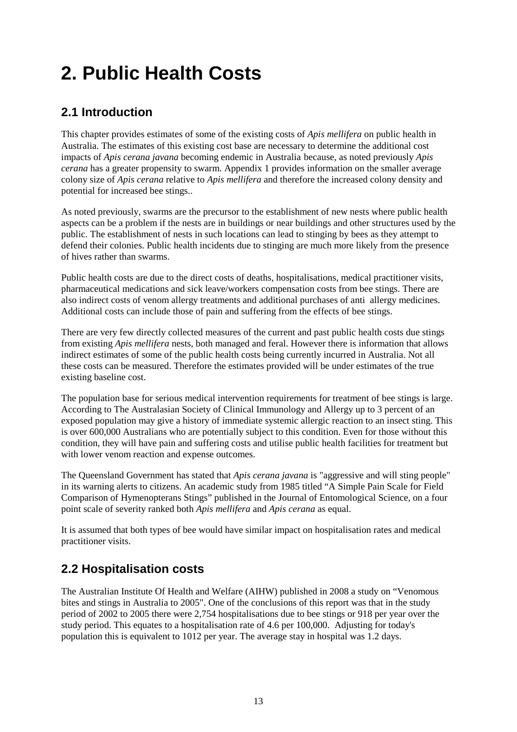## **2. Public Health Costs**

## **2.1 Introduction**

This chapter provides estimates of some of the existing costs of *Apis mellifera* on public health in Australia. The estimates of this existing cost base are necessary to determine the additional cost impacts of *Apis cerana javana* becoming endemic in Australia because, as noted previously *Apis cerana* has a greater propensity to swarm. Appendix 1 provides information on the smaller average colony size of *Apis cerana* relative to *Apis mellifera* and therefore the increased colony density and potential for increased bee stings..

As noted previously, swarms are the precursor to the establishment of new nests where public health aspects can be a problem if the nests are in buildings or near buildings and other structures used by the public. The establishment of nests in such locations can lead to stinging by bees as they attempt to defend their colonies. Public health incidents due to stinging are much more likely from the presence of hives rather than swarms.

Public health costs are due to the direct costs of deaths, hospitalisations, medical practitioner visits, pharmaceutical medications and sick leave/workers compensation costs from bee stings. There are also indirect costs of venom allergy treatments and additional purchases of anti allergy medicines. Additional costs can include those of pain and suffering from the effects of bee stings.

There are very few directly collected measures of the current and past public health costs due stings from existing *Apis mellifera* nests, both managed and feral. However there is information that allows indirect estimates of some of the public health costs being currently incurred in Australia. Not all these costs can be measured. Therefore the estimates provided will be under estimates of the true existing baseline cost.

The population base for serious medical intervention requirements for treatment of bee stings is large. According to The Australasian Society of Clinical Immunology and Allergy up to 3 percent of an exposed population may give a history of immediate systemic allergic reaction to an insect sting. This is over 600,000 Australians who are potentially subject to this condition. Even for those without this condition, they will have pain and suffering costs and utilise public health facilities for treatment but with lower venom reaction and expense outcomes.

The Queensland Government has stated that *Apis cerana javana* is "aggressive and will sting people" in its warning alerts to citizens. An academic study from 1985 titled "A Simple Pain Scale for Field Comparison of Hymenopterans Stings" published in the Journal of Entomological Science, on a four point scale of severity ranked both *Apis mellifera* and *Apis cerana* as equal.

It is assumed that both types of bee would have similar impact on hospitalisation rates and medical practitioner visits.

## **2.2 Hospitalisation costs**

The Australian Institute Of Health and Welfare (AIHW) published in 2008 a study on "Venomous bites and stings in Australia to 2005". One of the conclusions of this report was that in the study period of 2002 to 2005 there were 2,754 hospitalisations due to bee stings or 918 per year over the study period. This equates to a hospitalisation rate of 4.6 per 100,000. Adjusting for today's population this is equivalent to 1012 per year. The average stay in hospital was 1.2 days.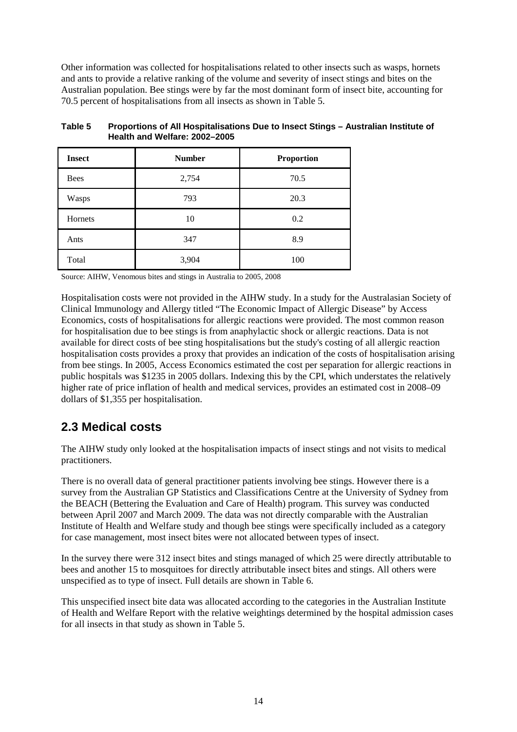Other information was collected for hospitalisations related to other insects such as wasps, hornets and ants to provide a relative ranking of the volume and severity of insect stings and bites on the Australian population. Bee stings were by far the most dominant form of insect bite, accounting for 70.5 percent of hospitalisations from all insects as shown in Table 5.

| <b>Insect</b> | <b>Number</b> | <b>Proportion</b> |
|---------------|---------------|-------------------|
| <b>Bees</b>   | 2,754         | 70.5              |
| Wasps         | 793           | 20.3              |
| Hornets       | 10            | 0.2               |
| Ants          | 347           | 8.9               |
| Total         | 3,904         | 100               |

#### <span id="page-25-0"></span>**Table 5 Proportions of All Hospitalisations Due to Insect Stings – Australian Institute of Health and Welfare: 2002–2005**

Source: AIHW, Venomous bites and stings in Australia to 2005, 2008

Hospitalisation costs were not provided in the AIHW study. In a study for the Australasian Society of Clinical Immunology and Allergy titled "The Economic Impact of Allergic Disease" by Access Economics, costs of hospitalisations for allergic reactions were provided. The most common reason for hospitalisation due to bee stings is from anaphylactic shock or allergic reactions. Data is not available for direct costs of bee sting hospitalisations but the study's costing of all allergic reaction hospitalisation costs provides a proxy that provides an indication of the costs of hospitalisation arising from bee stings. In 2005, Access Economics estimated the cost per separation for allergic reactions in public hospitals was \$1235 in 2005 dollars. Indexing this by the CPI, which understates the relatively higher rate of price inflation of health and medical services, provides an estimated cost in 2008–09 dollars of \$1,355 per hospitalisation.

### **2.3 Medical costs**

The AIHW study only looked at the hospitalisation impacts of insect stings and not visits to medical practitioners.

There is no overall data of general practitioner patients involving bee stings. However there is a survey from the Australian GP Statistics and Classifications Centre at the University of Sydney from the BEACH (Bettering the Evaluation and Care of Health) program. This survey was conducted between April 2007 and March 2009. The data was not directly comparable with the Australian Institute of Health and Welfare study and though bee stings were specifically included as a category for case management, most insect bites were not allocated between types of insect.

In the survey there were 312 insect bites and stings managed of which 25 were directly attributable to bees and another 15 to mosquitoes for directly attributable insect bites and stings. All others were unspecified as to type of insect. Full details are shown in Table 6.

This unspecified insect bite data was allocated according to the categories in the Australian Institute of Health and Welfare Report with the relative weightings determined by the hospital admission cases for all insects in that study as shown in Table 5.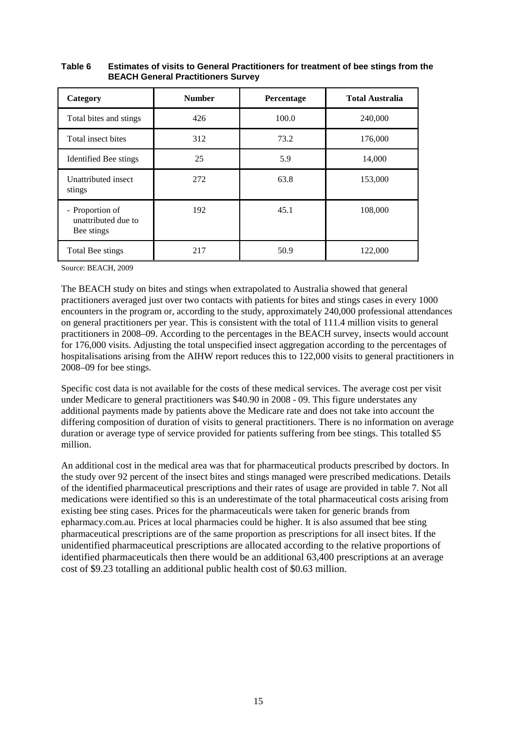| Category                                             | <b>Number</b> | Percentage | <b>Total Australia</b> |
|------------------------------------------------------|---------------|------------|------------------------|
| Total bites and stings                               | 426           | 100.0      | 240,000                |
| Total insect bites                                   | 312           | 73.2       | 176,000                |
| Identified Bee stings                                | 25            | 5.9        | 14,000                 |
| Unattributed insect<br>stings                        | 272           | 63.8       | 153,000                |
| - Proportion of<br>unattributed due to<br>Bee stings | 192           | 45.1       | 108,000                |
| Total Bee stings                                     | 217           | 50.9       | 122,000                |

#### <span id="page-26-0"></span>**Table 6 Estimates of visits to General Practitioners for treatment of bee stings from the BEACH General Practitioners Survey**

Source: BEACH, 2009

The BEACH study on bites and stings when extrapolated to Australia showed that general practitioners averaged just over two contacts with patients for bites and stings cases in every 1000 encounters in the program or, according to the study, approximately 240,000 professional attendances on general practitioners per year. This is consistent with the total of 111.4 million visits to general practitioners in 2008–09. According to the percentages in the BEACH survey, insects would account for 176,000 visits. Adjusting the total unspecified insect aggregation according to the percentages of hospitalisations arising from the AIHW report reduces this to 122,000 visits to general practitioners in 2008–09 for bee stings.

Specific cost data is not available for the costs of these medical services. The average cost per visit under Medicare to general practitioners was \$40.90 in 2008 - 09. This figure understates any additional payments made by patients above the Medicare rate and does not take into account the differing composition of duration of visits to general practitioners. There is no information on average duration or average type of service provided for patients suffering from bee stings. This totalled \$5 million.

An additional cost in the medical area was that for pharmaceutical products prescribed by doctors. In the study over 92 percent of the insect bites and stings managed were prescribed medications. Details of the identified pharmaceutical prescriptions and their rates of usage are provided in table 7. Not all medications were identified so this is an underestimate of the total pharmaceutical costs arising from existing bee sting cases. Prices for the pharmaceuticals were taken for generic brands from epharmacy.com.au. Prices at local pharmacies could be higher. It is also assumed that bee sting pharmaceutical prescriptions are of the same proportion as prescriptions for all insect bites. If the unidentified pharmaceutical prescriptions are allocated according to the relative proportions of identified pharmaceuticals then there would be an additional 63,400 prescriptions at an average cost of \$9.23 totalling an additional public health cost of \$0.63 million.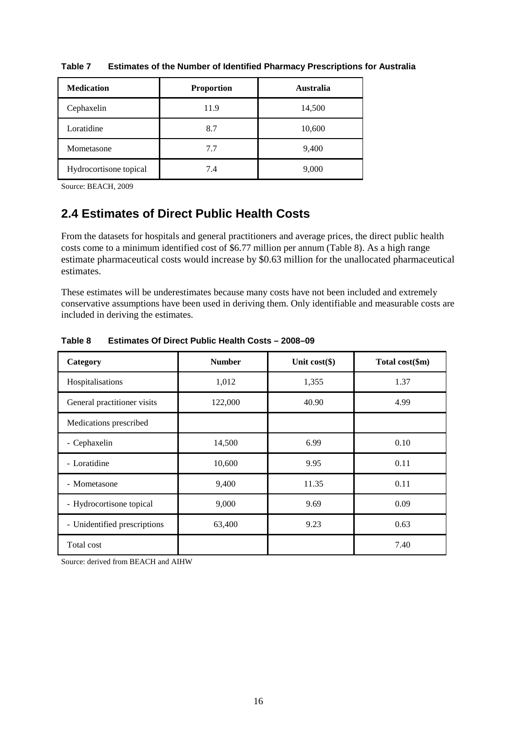| <b>Medication</b>      | <b>Proportion</b> | <b>Australia</b> |
|------------------------|-------------------|------------------|
| Cephaxelin             | 11.9              | 14,500           |
| Loratidine             | 8.7               | 10,600           |
| Mometasone             | 7.7               | 9,400            |
| Hydrocortisone topical | 7.4               | 9,000            |

<span id="page-27-0"></span>**Table 7 Estimates of the Number of Identified Pharmacy Prescriptions for Australia**

Source: BEACH, 2009

### **2.4 Estimates of Direct Public Health Costs**

From the datasets for hospitals and general practitioners and average prices, the direct public health costs come to a minimum identified cost of \$6.77 million per annum (Table 8). As a high range estimate pharmaceutical costs would increase by \$0.63 million for the unallocated pharmaceutical estimates.

These estimates will be underestimates because many costs have not been included and extremely conservative assumptions have been used in deriving them. Only identifiable and measurable costs are included in deriving the estimates.

| Category                     | <b>Number</b> | Unit $cost(\$)$ | Total cost(\$m) |
|------------------------------|---------------|-----------------|-----------------|
| Hospitalisations             | 1,012         | 1,355           | 1.37            |
| General practitioner visits  | 122,000       | 40.90           | 4.99            |
| Medications prescribed       |               |                 |                 |
| - Cephaxelin                 | 14,500        | 6.99            | 0.10            |
| - Loratidine                 | 10,600        | 9.95            | 0.11            |
| - Mometasone                 | 9,400         | 11.35           | 0.11            |
| - Hydrocortisone topical     | 9,000         | 9.69            | 0.09            |
| - Unidentified prescriptions | 63,400        | 9.23            | 0.63            |
| Total cost                   |               |                 | 7.40            |

<span id="page-27-1"></span>**Table 8 Estimates Of Direct Public Health Costs – 2008–09**

Source: derived from BEACH and AIHW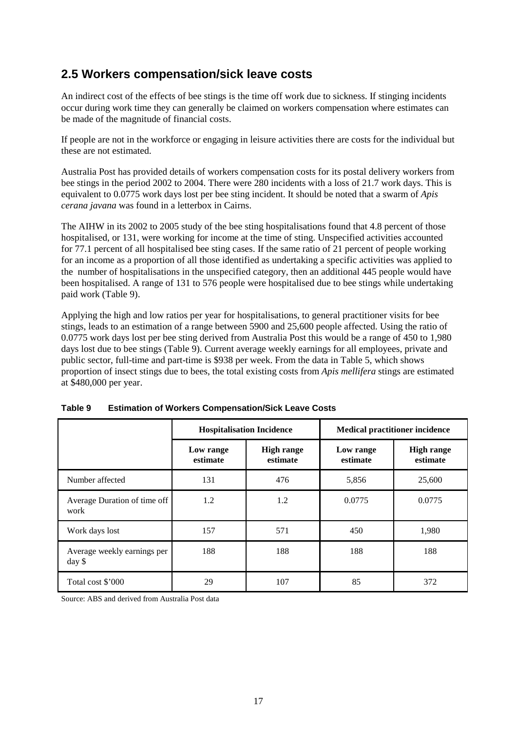### **2.5 Workers compensation/sick leave costs**

An indirect cost of the effects of bee stings is the time off work due to sickness. If stinging incidents occur during work time they can generally be claimed on workers compensation where estimates can be made of the magnitude of financial costs.

If people are not in the workforce or engaging in leisure activities there are costs for the individual but these are not estimated.

Australia Post has provided details of workers compensation costs for its postal delivery workers from bee stings in the period 2002 to 2004. There were 280 incidents with a loss of 21.7 work days. This is equivalent to 0.0775 work days lost per bee sting incident. It should be noted that a swarm of *Apis cerana javana* was found in a letterbox in Cairns.

The AIHW in its 2002 to 2005 study of the bee sting hospitalisations found that 4.8 percent of those hospitalised, or 131, were working for income at the time of sting. Unspecified activities accounted for 77.1 percent of all hospitalised bee sting cases. If the same ratio of 21 percent of people working for an income as a proportion of all those identified as undertaking a specific activities was applied to the number of hospitalisations in the unspecified category, then an additional 445 people would have been hospitalised. A range of 131 to 576 people were hospitalised due to bee stings while undertaking paid work (Table 9).

Applying the high and low ratios per year for hospitalisations, to general practitioner visits for bee stings, leads to an estimation of a range between 5900 and 25,600 people affected. Using the ratio of 0.0775 work days lost per bee sting derived from Australia Post this would be a range of 450 to 1,980 days lost due to bee stings (Table 9). Current average weekly earnings for all employees, private and public sector, full-time and part-time is \$938 per week. From the data in Table 5, which shows proportion of insect stings due to bees, the total existing costs from *Apis mellifera* stings are estimated at \$480,000 per year.

|                                       | <b>Hospitalisation Incidence</b> |                               | <b>Medical practitioner incidence</b> |                               |
|---------------------------------------|----------------------------------|-------------------------------|---------------------------------------|-------------------------------|
|                                       | Low range<br>estimate            | <b>High range</b><br>estimate | Low range<br>estimate                 | <b>High range</b><br>estimate |
| Number affected                       | 131                              | 476                           | 5,856                                 | 25,600                        |
| Average Duration of time off<br>work  | 1.2                              | 1.2                           | 0.0775                                | 0.0775                        |
| Work days lost                        | 157                              | 571                           | 450                                   | 1,980                         |
| Average weekly earnings per<br>day \$ | 188                              | 188                           | 188                                   | 188                           |
| Total cost \$'000                     | 29                               | 107                           | 85                                    | 372                           |

<span id="page-28-0"></span>

| Table 9 | <b>Estimation of Workers Compensation/Sick Leave Costs</b> |
|---------|------------------------------------------------------------|
|---------|------------------------------------------------------------|

Source: ABS and derived from Australia Post data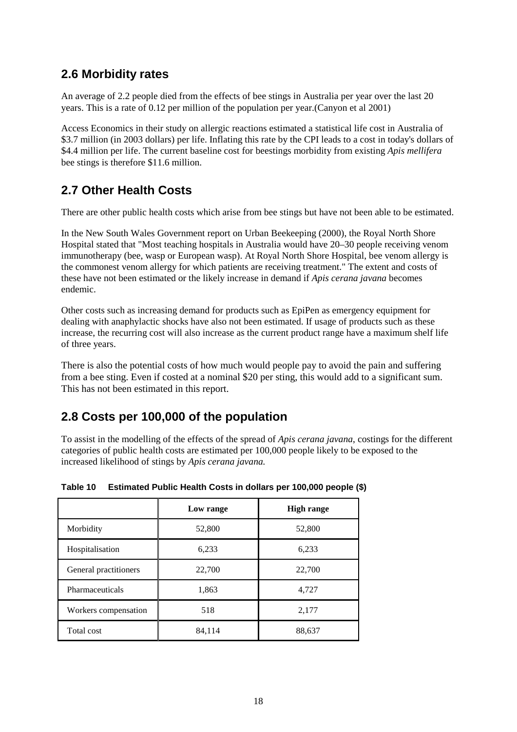### **2.6 Morbidity rates**

An average of 2.2 people died from the effects of bee stings in Australia per year over the last 20 years. This is a rate of 0.12 per million of the population per year.(Canyon et al 2001)

Access Economics in their study on allergic reactions estimated a statistical life cost in Australia of \$3.7 million (in 2003 dollars) per life. Inflating this rate by the CPI leads to a cost in today's dollars of \$4.4 million per life. The current baseline cost for beestings morbidity from existing *Apis mellifera* bee stings is therefore \$11.6 million.

## **2.7 Other Health Costs**

There are other public health costs which arise from bee stings but have not been able to be estimated.

In the New South Wales Government report on Urban Beekeeping (2000), the Royal North Shore Hospital stated that "Most teaching hospitals in Australia would have 20–30 people receiving venom immunotherapy (bee, wasp or European wasp). At Royal North Shore Hospital, bee venom allergy is the commonest venom allergy for which patients are receiving treatment." The extent and costs of these have not been estimated or the likely increase in demand if *Apis cerana javana* becomes endemic.

Other costs such as increasing demand for products such as EpiPen as emergency equipment for dealing with anaphylactic shocks have also not been estimated. If usage of products such as these increase, the recurring cost will also increase as the current product range have a maximum shelf life of three years.

There is also the potential costs of how much would people pay to avoid the pain and suffering from a bee sting. Even if costed at a nominal \$20 per sting, this would add to a significant sum. This has not been estimated in this report.

### **2.8 Costs per 100,000 of the population**

To assist in the modelling of the effects of the spread of *Apis cerana javana*, costings for the different categories of public health costs are estimated per 100,000 people likely to be exposed to the increased likelihood of stings by *Apis cerana javana.*

|                       | Low range | <b>High range</b> |
|-----------------------|-----------|-------------------|
| Morbidity             | 52,800    | 52,800            |
| Hospitalisation       | 6,233     | 6,233             |
| General practitioners | 22,700    | 22,700            |
| Pharmaceuticals       | 1,863     | 4,727             |
| Workers compensation  | 518       | 2,177             |
| Total cost            | 84,114    | 88,637            |

<span id="page-29-0"></span>

| Table 10 | Estimated Public Health Costs in dollars per 100,000 people (\$) |  |  |
|----------|------------------------------------------------------------------|--|--|
|          |                                                                  |  |  |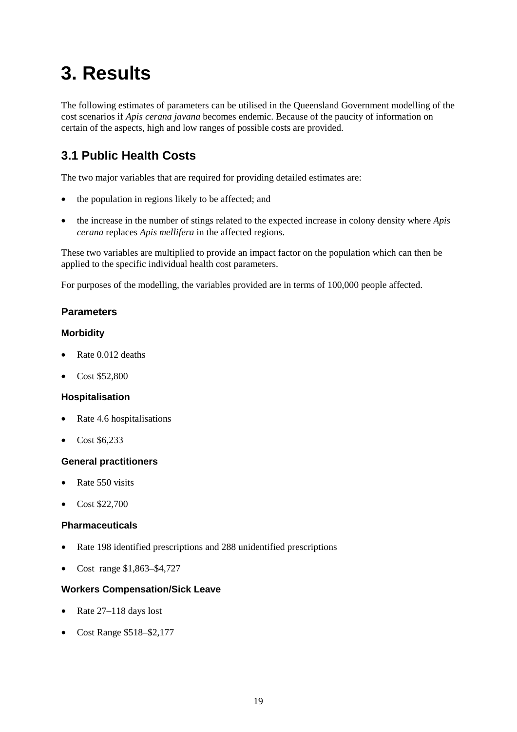## **3. Results**

The following estimates of parameters can be utilised in the Queensland Government modelling of the cost scenarios if *Apis cerana javana* becomes endemic. Because of the paucity of information on certain of the aspects, high and low ranges of possible costs are provided.

## **3.1 Public Health Costs**

The two major variables that are required for providing detailed estimates are:

- the population in regions likely to be affected; and
- the increase in the number of stings related to the expected increase in colony density where *Apis cerana* replaces *Apis mellifera* in the affected regions.

These two variables are multiplied to provide an impact factor on the population which can then be applied to the specific individual health cost parameters.

For purposes of the modelling, the variables provided are in terms of 100,000 people affected.

#### **Parameters**

#### **Morbidity**

- Rate 0.012 deaths
- Cost \$52,800

#### **Hospitalisation**

- Rate 4.6 hospitalisations
- Cost \$6,233

#### **General practitioners**

- Rate 550 visits
- Cost \$22,700

#### **Pharmaceuticals**

- Rate 198 identified prescriptions and 288 unidentified prescriptions
- Cost range \$1,863–\$4,727

#### **Workers Compensation/Sick Leave**

- Rate 27–118 days lost
- Cost Range \$518–\$2,177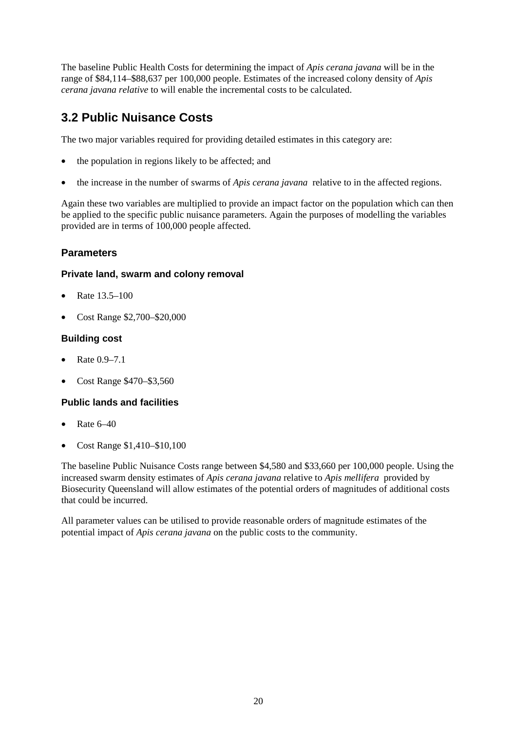The baseline Public Health Costs for determining the impact of *Apis cerana javana* will be in the range of \$84,114–\$88,637 per 100,000 people. Estimates of the increased colony density of *Apis cerana javana relative* to will enable the incremental costs to be calculated.

## **3.2 Public Nuisance Costs**

The two major variables required for providing detailed estimates in this category are:

- the population in regions likely to be affected; and
- the increase in the number of swarms of *Apis cerana javana* relative to in the affected regions.

Again these two variables are multiplied to provide an impact factor on the population which can then be applied to the specific public nuisance parameters. Again the purposes of modelling the variables provided are in terms of 100,000 people affected.

#### **Parameters**

#### **Private land, swarm and colony removal**

- Rate 13.5–100
- Cost Range \$2,700–\$20,000

#### **Building cost**

- Rate 0.9–7.1
- Cost Range \$470–\$3,560

#### **Public lands and facilities**

- Rate  $6-40$
- Cost Range \$1,410–\$10,100

The baseline Public Nuisance Costs range between \$4,580 and \$33,660 per 100,000 people. Using the increased swarm density estimates of *Apis cerana javana* relative to *Apis mellifera* provided by Biosecurity Queensland will allow estimates of the potential orders of magnitudes of additional costs that could be incurred.

All parameter values can be utilised to provide reasonable orders of magnitude estimates of the potential impact of *Apis cerana javana* on the public costs to the community.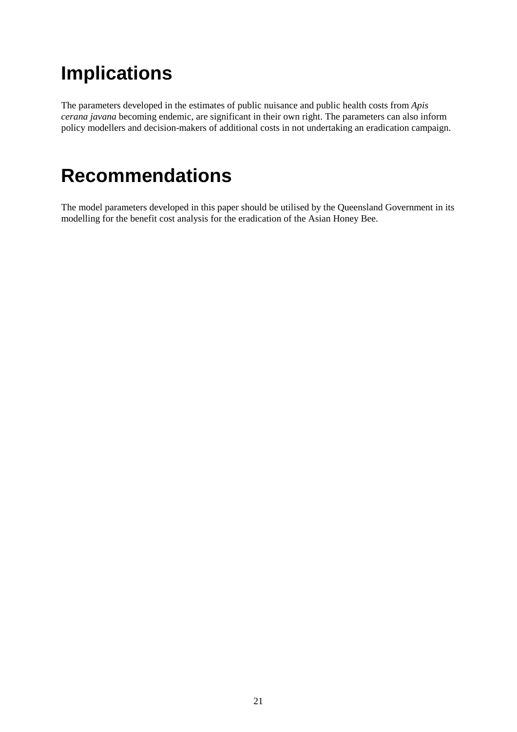## **Implications**

The parameters developed in the estimates of public nuisance and public health costs from *Apis cerana javana* becoming endemic, are significant in their own right. The parameters can also inform policy modellers and decision-makers of additional costs in not undertaking an eradication campaign.

## **Recommendations**

The model parameters developed in this paper should be utilised by the Queensland Government in its modelling for the benefit cost analysis for the eradication of the Asian Honey Bee.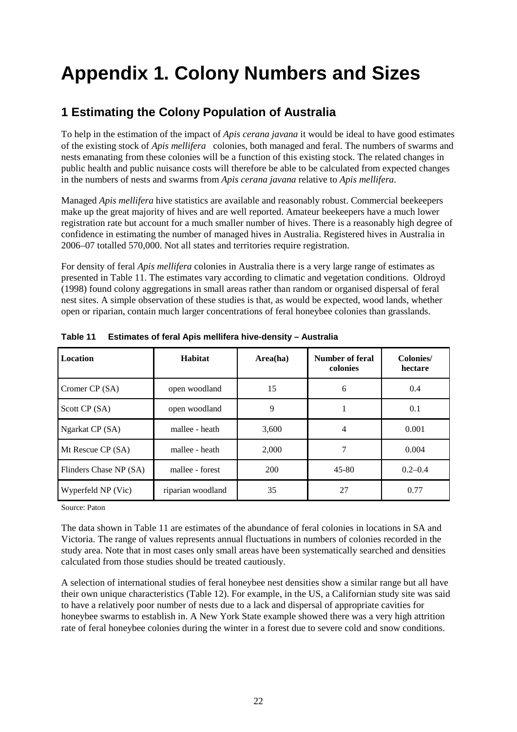## **Appendix 1. Colony Numbers and Sizes**

## **1 Estimating the Colony Population of Australia**

To help in the estimation of the impact of *Apis cerana javana* it would be ideal to have good estimates of the existing stock of *Apis mellifera* colonies, both managed and feral. The numbers of swarms and nests emanating from these colonies will be a function of this existing stock. The related changes in public health and public nuisance costs will therefore be able to be calculated from expected changes in the numbers of nests and swarms from *Apis cerana javana* relative to *Apis mellifera*.

Managed *Apis mellifera* hive statistics are available and reasonably robust. Commercial beekeepers make up the great majority of hives and are well reported. Amateur beekeepers have a much lower registration rate but account for a much smaller number of hives. There is a reasonably high degree of confidence in estimating the number of managed hives in Australia. Registered hives in Australia in 2006–07 totalled 570,000. Not all states and territories require registration.

For density of feral *Apis mellifera* colonies in Australia there is a very large range of estimates as presented in Table 11. The estimates vary according to climatic and vegetation conditions. Oldroyd (1998) found colony aggregations in small areas rather than random or organised dispersal of feral nest sites. A simple observation of these studies is that, as would be expected, wood lands, whether open or riparian, contain much larger concentrations of feral honeybee colonies than grasslands.

| <b>Location</b>        | Habitat           | Area(ha) | Number of feral<br>colonies | Colonies/<br>hectare |
|------------------------|-------------------|----------|-----------------------------|----------------------|
| Cromer CP (SA)         | open woodland     | 15       | 6                           | 0.4                  |
| Scott CP (SA)          | open woodland     | 9        |                             | 0.1                  |
| Ngarkat CP (SA)        | mallee - heath    | 3.600    | 4                           | 0.001                |
| Mt Rescue CP (SA)      | mallee - heath    | 2.000    | 7                           | 0.004                |
| Flinders Chase NP (SA) | mallee - forest   | 200      | $45 - 80$                   | $0.2 - 0.4$          |
| Wyperfeld NP (Vic)     | riparian woodland | 35       | 27                          | 0.77                 |

<span id="page-33-0"></span>**Table 11 Estimates of feral Apis mellifera hive-density – Australia**

Source: Paton

The data shown in Table 11 are estimates of the abundance of feral colonies in locations in SA and Victoria. The range of values represents annual fluctuations in numbers of colonies recorded in the study area. Note that in most cases only small areas have been systematically searched and densities calculated from those studies should be treated cautiously.

A selection of international studies of feral honeybee nest densities show a similar range but all have their own unique characteristics (Table 12). For example, in the US, a Californian study site was said to have a relatively poor number of nests due to a lack and dispersal of appropriate cavities for honeybee swarms to establish in. A New York State example showed there was a very high attrition rate of feral honeybee colonies during the winter in a forest due to severe cold and snow conditions.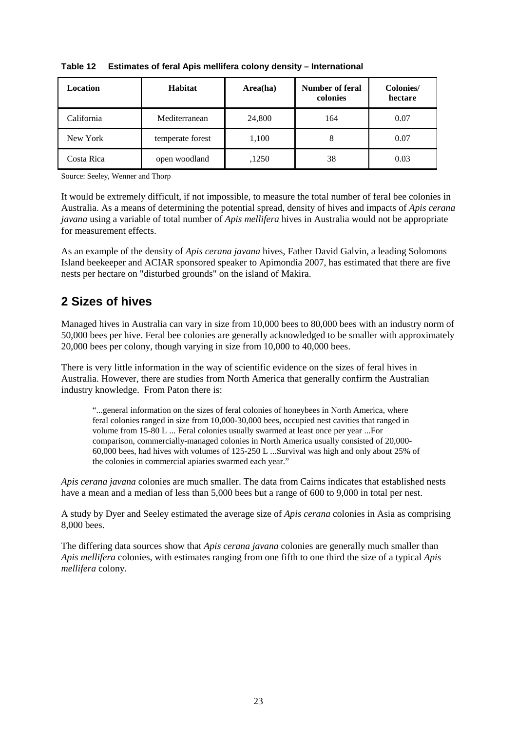| Location   | <b>Habitat</b>   | Area(ha) | Number of feral<br>colonies | Colonies/<br>hectare |
|------------|------------------|----------|-----------------------------|----------------------|
| California | Mediterranean    | 24,800   | 164                         | 0.07                 |
| New York   | temperate forest | 1,100    | 8                           | 0.07                 |
| Costa Rica | open woodland    | ,1250    | 38                          | 0.03                 |

<span id="page-34-0"></span>**Table 12 Estimates of feral Apis mellifera colony density – International**

Source: Seeley, Wenner and Thorp

It would be extremely difficult, if not impossible, to measure the total number of feral bee colonies in Australia. As a means of determining the potential spread, density of hives and impacts of *Apis cerana javana* using a variable of total number of *Apis mellifera* hives in Australia would not be appropriate for measurement effects.

As an example of the density of *Apis cerana javana* hives, Father David Galvin, a leading Solomons Island beekeeper and ACIAR sponsored speaker to Apimondia 2007, has estimated that there are five nests per hectare on "disturbed grounds" on the island of Makira.

## **2 Sizes of hives**

Managed hives in Australia can vary in size from 10,000 bees to 80,000 bees with an industry norm of 50,000 bees per hive. Feral bee colonies are generally acknowledged to be smaller with approximately 20,000 bees per colony, though varying in size from 10,000 to 40,000 bees.

There is very little information in the way of scientific evidence on the sizes of feral hives in Australia. However, there are studies from North America that generally confirm the Australian industry knowledge. From Paton there is:

"...general information on the sizes of feral colonies of honeybees in North America, where feral colonies ranged in size from 10,000-30,000 bees, occupied nest cavities that ranged in volume from 15-80 L ... Feral colonies usually swarmed at least once per year ...For comparison, commercially-managed colonies in North America usually consisted of 20,000- 60,000 bees, had hives with volumes of 125-250 L ...Survival was high and only about 25% of the colonies in commercial apiaries swarmed each year."

*Apis cerana javana* colonies are much smaller. The data from Cairns indicates that established nests have a mean and a median of less than 5,000 bees but a range of 600 to 9,000 in total per nest.

A study by Dyer and Seeley estimated the average size of *Apis cerana* colonies in Asia as comprising 8,000 bees.

The differing data sources show that *Apis cerana javana* colonies are generally much smaller than *Apis mellifera* colonies, with estimates ranging from one fifth to one third the size of a typical *Apis mellifera* colony.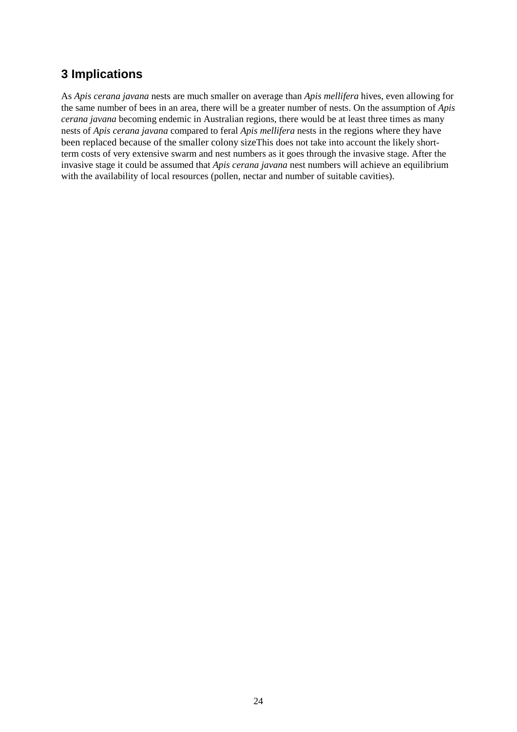### **3 Implications**

As *Apis cerana javana* nests are much smaller on average than *Apis mellifera* hives, even allowing for the same number of bees in an area, there will be a greater number of nests. On the assumption of *Apis cerana javana* becoming endemic in Australian regions, there would be at least three times as many nests of *Apis cerana javana* compared to feral *Apis mellifera* nests in the regions where they have been replaced because of the smaller colony sizeThis does not take into account the likely shortterm costs of very extensive swarm and nest numbers as it goes through the invasive stage. After the invasive stage it could be assumed that *Apis cerana javana* nest numbers will achieve an equilibrium with the availability of local resources (pollen, nectar and number of suitable cavities).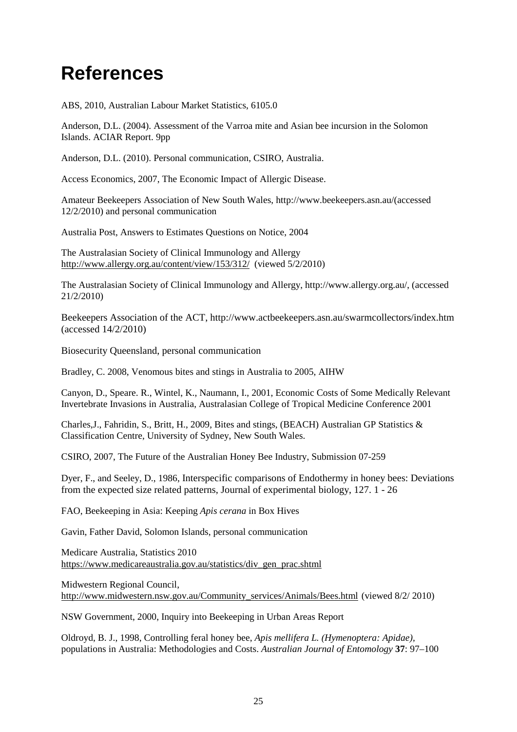## **References**

ABS, 2010, Australian Labour Market Statistics, 6105.0

Anderson, D.L. (2004). Assessment of the Varroa mite and Asian bee incursion in the Solomon Islands. ACIAR Report. 9pp

Anderson, D.L. (2010). Personal communication, CSIRO, Australia.

Access Economics, 2007, The Economic Impact of Allergic Disease.

Amateur Beekeepers Association of New South Wales, http://www.beekeepers.asn.au/(accessed 12/2/2010) and personal communication

Australia Post, Answers to Estimates Questions on Notice, 2004

The Australasian Society of Clinical Immunology and Allergy <http://www.allergy.org.au/content/view/153/312/>(viewed 5/2/2010)

The Australasian Society of Clinical Immunology and Allergy, http://www.allergy.org.au/, (accessed 21/2/2010)

Beekeepers Association of the ACT, http://www.actbeekeepers.asn.au/swarmcollectors/index.htm (accessed 14/2/2010)

Biosecurity Queensland, personal communication

Bradley, C. 2008, Venomous bites and stings in Australia to 2005, AIHW

Canyon, D., Speare. R., Wintel, K., Naumann, I., 2001, Economic Costs of Some Medically Relevant Invertebrate Invasions in Australia, Australasian College of Tropical Medicine Conference 2001

Charles,J., Fahridin, S., Britt, H., 2009, Bites and stings, (BEACH) Australian GP Statistics & Classification Centre, University of Sydney, New South Wales.

CSIRO, 2007, The Future of the Australian Honey Bee Industry, Submission 07-259

Dyer, F., and Seeley, D., 1986, Interspecific comparisons of Endothermy in honey bees: Deviations from the expected size related patterns, Journal of experimental biology, 127. 1 - 26

FAO, Beekeeping in Asia: Keeping *Apis cerana* in Box Hives

Gavin, Father David, Solomon Islands, personal communication

Medicare Australia, Statistics 2010 [https://www.medicareaustralia.gov.au/statistics/div\\_gen\\_prac.shtml](https://www.medicareaustralia.gov.au/statistics/div_gen_prac.shtml)

Midwestern Regional Council, [http://www.midwestern.nsw.gov.au/Community\\_services/Animals/Bees.html](http://www.midwestern.nsw.gov.au/Community_services/Animals/Bees.html) (viewed 8/2/ 2010)

NSW Government, 2000, Inquiry into Beekeeping in Urban Areas Report

Oldroyd, B. J., 1998, Controlling feral honey bee, *Apis mellifera L. (Hymenoptera: Apidae),*  populations in Australia: Methodologies and Costs. *Australian Journal of Entomology* **37**: 97–100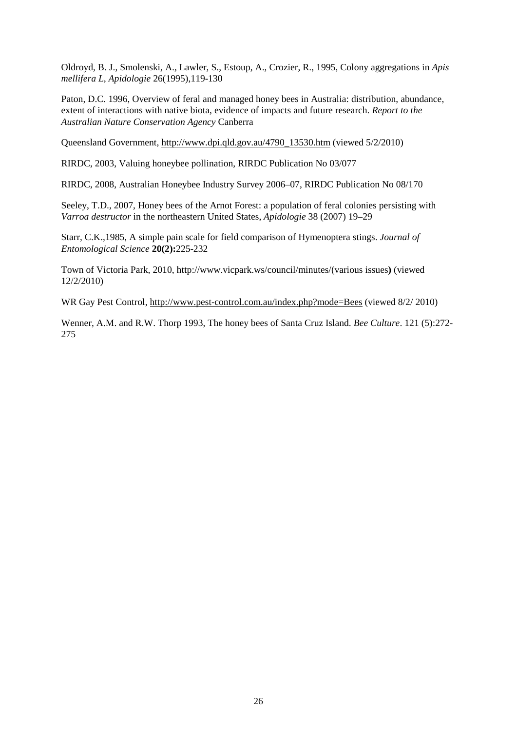Oldroyd, B. J., Smolenski, A., Lawler, S., Estoup, A., Crozier, R., 1995, Colony aggregations in *Apis mellifera L*, *Apidologie* 26(1995),119-130

Paton, D.C. 1996, Overview of feral and managed honey bees in Australia: distribution, abundance, extent of interactions with native biota, evidence of impacts and future research. *Report to the Australian Nature Conservation Agency* Canberra

Queensland Government, [http://www.dpi.qld.gov.au/4790\\_13530.htm](http://www.dpi.qld.gov.au/4790_13530.htm) (viewed 5/2/2010)

RIRDC, 2003, Valuing honeybee pollination, RIRDC Publication No 03/077

RIRDC, 2008, Australian Honeybee Industry Survey 2006–07, RIRDC Publication No 08/170

Seeley, T.D., 2007, Honey bees of the Arnot Forest: a population of feral colonies persisting with *Varroa destructor* in the northeastern United States, *Apidologie* 38 (2007) 19–29

Starr, C.K.,1985, A simple pain scale for field comparison of Hymenoptera stings. *Journal of Entomological Science* **20(2):**225-232

Town of Victoria Park, 2010, http://www.vicpark.ws/council/minutes/(various issues**)** (viewed 12/2/2010)

WR Gay Pest Control, <http://www.pest-control.com.au/index.php?mode=Bees> (viewed 8/2/ 2010)

Wenner, A.M. and R.W. Thorp 1993, The honey bees of Santa Cruz Island. *Bee Culture*. 121 (5):272- 275